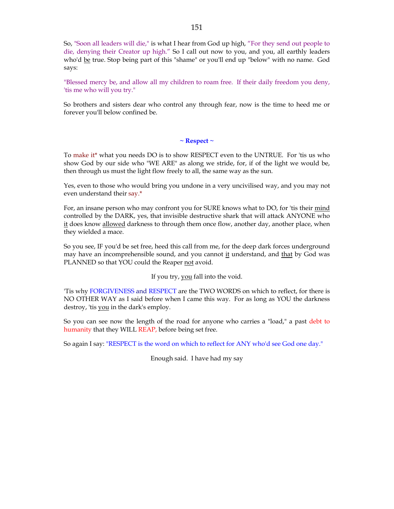So, "Soon all leaders will die," is what I hear from God up high, "For they send out people to die, denying their Creator up high." So I call out now to you, and you, all earthly leaders who'd be true. Stop being part of this "shame" or you'll end up "below" with no name. God says:

"Blessed mercy be, and allow all my children to roam free. If their daily freedom you deny, 'tis me who will you try."

So brothers and sisters dear who control any through fear, now is the time to heed me or forever you'll below confined be.

**~ Respect ~**

To make it\* what you needs DO is to show RESPECT even to the UNTRUE. For 'tis us who show God by our side who "WE ARE" as along we stride, for, if of the light we would be, then through us must the light flow freely to all, the same way as the sun.

Yes, even to those who would bring you undone in a very uncivilised way, and you may not even understand their say.\*

For, an insane person who may confront you for SURE knows what to DO, for 'tis their mind controlled by the DARK, yes, that invisible destructive shark that will attack ANYONE who it does know allowed darkness to through them once flow, another day, another place, when they wielded a mace.

So you see, IF you'd be set free, heed this call from me, for the deep dark forces underground may have an incomprehensible sound, and you cannot it understand, and that by God was PLANNED so that YOU could the Reaper not avoid.

If you try, you fall into the void.

'Tis why FORGIVENESS and RESPECT are the TWO WORDS on which to reflect, for there is NO OTHER WAY as I said before when I came this way. For as long as YOU the darkness destroy, 'tis you in the dark's employ.

So you can see now the length of the road for anyone who carries a "load," a past debt to humanity that they WILL REAP, before being set free.

So again I say: "RESPECT is the word on which to reflect for ANY who'd see God one day."

Enough said. I have had my say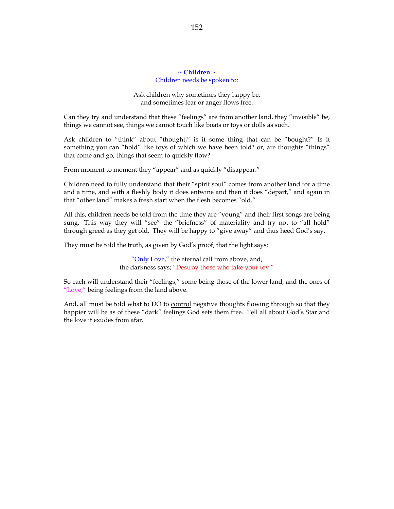# **~ Children ~** Children needs be spoken to:

Ask children why sometimes they happy be, and sometimes fear or anger flows free.

Can they try and understand that these "feelings" are from another land, they "invisible" be, things we cannot see, things we cannot touch like boats or toys or dolls as such.

Ask children to "think" about "thought," is it some thing that can be "bought?" Is it something you can "hold" like toys of which we have been told? or, are thoughts "things" that come and go, things that seem to quickly flow?

From moment to moment they "appear" and as quickly "disappear."

Children need to fully understand that their "spirit soul" comes from another land for a time and a time, and with a fleshly body it does entwine and then it does "depart," and again in that "other land" makes a fresh start when the flesh becomes "old."

All this, children needs be told from the time they are "young" and their first songs are being sung. This way they will "see" the "briefness" of materiality and try not to "all hold" through greed as they get old. They will be happy to "give away" and thus heed God's say.

They must be told the truth, as given by God's proof, that the light says:

"Only Love," the eternal call from above, and, the darkness says; "Destroy those who take your toy."

So each will understand their "feelings," some being those of the lower land, and the ones of "Love," being feelings from the land above.

And, all must be told what to DO to control negative thoughts flowing through so that they happier will be as of these "dark" feelings God sets them free. Tell all about God's Star and the love it exudes from afar.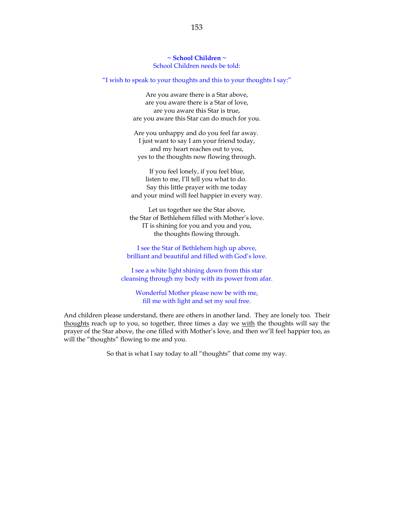**~ School Children ~** School Children needs be told:

"I wish to speak to your thoughts and this to your thoughts I say:"

Are you aware there is a Star above, are you aware there is a Star of love, are you aware this Star is true, are you aware this Star can do much for you.

Are you unhappy and do you feel far away. I just want to say I am your friend today, and my heart reaches out to you, yes to the thoughts now flowing through.

If you feel lonely, if you feel blue, listen to me, I'll tell you what to do. Say this little prayer with me today and your mind will feel happier in every way.

Let us together see the Star above, the Star of Bethlehem filled with Mother's love. IT is shining for you and you and you, the thoughts flowing through.

I see the Star of Bethlehem high up above, brilliant and beautiful and filled with God's love.

I see a white light shining down from this star cleansing through my body with its power from afar.

Wonderful Mother please now be with me, fill me with light and set my soul free.

And children please understand, there are others in another land. They are lonely too. Their thoughts reach up to you, so together, three times a day we with the thoughts will say the prayer of the Star above, the one filled with Mother's love, and then we'll feel happier too, as will the "thoughts" flowing to me and you.

So that is what I say today to all "thoughts" that come my way.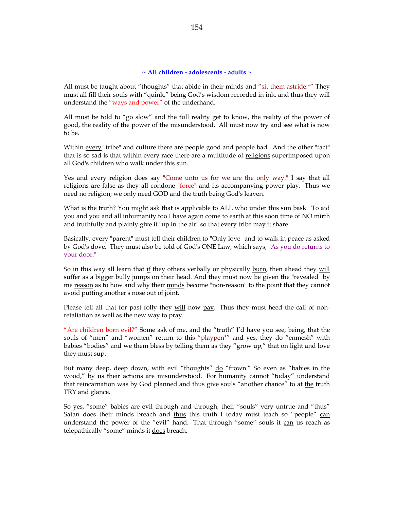# **~ All children - adolescents - adults ~**

All must be taught about "thoughts" that abide in their minds and "sit them astride.\*" They must all fill their souls with "quink," being God's wisdom recorded in ink, and thus they will understand the "ways and power" of the underhand.

All must be told to "go slow" and the full reality get to know, the reality of the power of good, the reality of the power of the misunderstood. All must now try and see what is now to be.

Within every "tribe" and culture there are people good and people bad. And the other "fact" that is so sad is that within every race there are a multitude of religions superimposed upon all God's children who walk under this sun.

Yes and every religion does say "Come unto us for we are the only way." I say that all religions are false as they all condone "force" and its accompanying power play. Thus we need no religion; we only need GOD and the truth being God's leaven.

What is the truth? You might ask that is applicable to ALL who under this sun bask. To aid you and you and all inhumanity too I have again come to earth at this soon time of NO mirth and truthfully and plainly give it "up in the air" so that every tribe may it share.

Basically, every "parent" must tell their children to "Only love" and to walk in peace as asked by God's dove. They must also be told of God's ONE Law, which says, "As you do returns to your door."

So in this way all learn that if they others verbally or physically burn, then ahead they will suffer as a bigger bully jumps on their head. And they must now be given the "revealed" by me reason as to how and why their minds become "non-reason" to the point that they cannot avoid putting another's nose out of joint.

Please tell all that for past folly they will now pay. Thus they must heed the call of nonretaliation as well as the new way to pray.

"Are children born evil?" Some ask of me, and the "truth" I'd have you see, being, that the souls of "men" and "women" return to this "playpen\*" and yes, they do "enmesh" with babies "bodies" and we them bless by telling them as they "grow up," that on light and love they must sup.

But many deep, deep down, with evil "thoughts" do "frown." So even as "babies in the wood," by us their actions are misunderstood. For humanity cannot "today" understand that reincarnation was by God planned and thus give souls "another chance" to at the truth TRY and glance.

So yes, "some" babies are evil through and through, their "souls" very untrue and "thus" Satan does their minds breach and thus this truth I today must teach so "people" can understand the power of the "evil" hand. That through "some" souls it can us reach as telepathically "some" minds it does breach.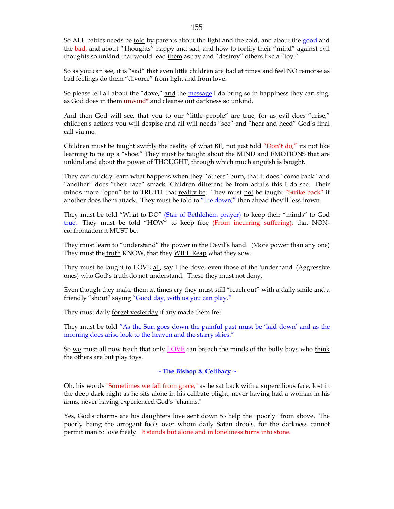So ALL babies needs be told by parents about the light and the cold, and about the good and the bad, and about "Thoughts" happy and sad, and how to fortify their "mind" against evil thoughts so unkind that would lead them astray and "destroy" others like a "toy."

So as you can see, it is "sad" that even little children are bad at times and feel NO remorse as bad feelings do them "divorce" from light and from love.

So please tell all about the "dove," and the message I do bring so in happiness they can sing, as God does in them unwind\* and cleanse out darkness so unkind.

And then God will see, that you to our "little people" are true, for as evil does "arise," children's actions you will despise and all will needs "see" and "hear and heed" God's final call via me.

Children must be taught swiftly the reality of what BE, not just told "Don't do," its not like learning to tie up a "shoe." They must be taught about the MIND and EMOTIONS that are unkind and about the power of THOUGHT, through which much anguish is bought.

They can quickly learn what happens when they "others" burn, that it does "come back" and "another" does "their face" smack. Children different be from adults this I do see. Their minds more "open" be to TRUTH that reality be. They must not be taught "Strike back" if another does them attack. They must be told to "Lie down," then ahead they'll less frown.

They must be told "What to DO" (Star of Bethlehem prayer) to keep their "minds" to God true. They must be told "HOW" to keep free (From incurring suffering), that NONconfrontation it MUST be.

They must learn to "understand" the power in the Devil's hand. (More power than any one) They must the truth KNOW, that they WILL Reap what they sow.

They must be taught to LOVE all, say I the dove, even those of the 'underhand' (Aggressive ones) who God's truth do not understand. These they must not deny.

Even though they make them at times cry they must still "reach out" with a daily smile and a friendly "shout" saying "Good day, with us you can play."

They must daily forget yesterday if any made them fret.

They must be told "As the Sun goes down the painful past must be 'laid down' and as the morning does arise look to the heaven and the starry skies."

So we must all now teach that only  $\underline{LOVE}$  can breach the minds of the bully boys who think the others are but play toys.

#### **~ The Bishop & Celibacy ~**

Oh, his words "Sometimes we fall from grace," as he sat back with a supercilious face, lost in the deep dark night as he sits alone in his celibate plight, never having had a woman in his arms, never having experienced God's "charms."

Yes, God's charms are his daughters love sent down to help the "poorly" from above. The poorly being the arrogant fools over whom daily Satan drools, for the darkness cannot permit man to love freely. It stands but alone and in loneliness turns into stone.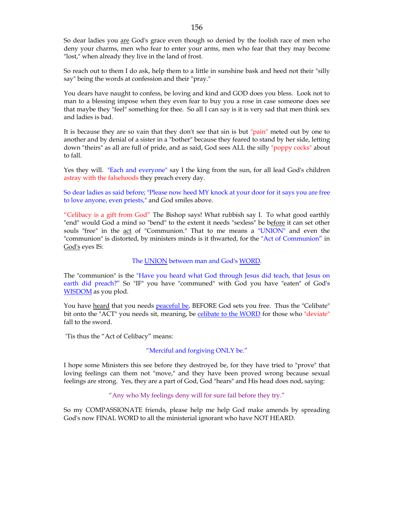So dear ladies you are God's grace even though so denied by the foolish race of men who deny your charms, men who fear to enter your arms, men who fear that they may become "lost," when already they live in the land of frost.

So reach out to them I do ask, help them to a little in sunshine bask and heed not their "silly say" being the words at confession and their "pray."

You dears have naught to confess, be loving and kind and GOD does you bless. Look not to man to a blessing impose when they even fear to buy you a rose in case someone does see that maybe they "feel" something for thee. So all I can say is it is very sad that men think sex and ladies is bad.

It is because they are so vain that they don't see that sin is but "pain" meted out by one to another and by denial of a sister in a "bother" because they feared to stand by her side, letting down "theirs" as all are full of pride, and as said, God sees ALL the silly "poppy cocks" about to fall.

Yes they will. "Each and everyone" say I the king from the sun, for all lead God's children astray with the falsehoods they preach every day.

So dear ladies as said before; "Please now heed MY knock at your door for it says you are free to love anyone, even priests," and God smiles above.

"Celibacy is a gift from God" The Bishop says! What rubbish say I. To what good earthly "end" would God a mind so "bend" to the extent it needs "sexless" be before it can set other souls "free" in the act of "Communion." That to me means a "UNION" and even the "communion" is distorted, by ministers minds is it thwarted, for the "Act of Communion" in God's eyes IS:

## The UNION between man and God's WORD.

The "communion" is the "Have you heard what God through Jesus did teach, that Jesus on earth did preach?" So "IF" you have "communed" with God you have "eaten" of God's WISDOM as you plod.

You have heard that you needs peaceful be, BEFORE God sets you free. Thus the "Celibate" bit onto the "ACT" you needs sit, meaning, be celibate to the WORD for those who "deviate" fall to the sword.

'Tis thus the "Act of Celibacy" means:

## "Merciful and forgiving ONLY be."

I hope some Ministers this see before they destroyed be, for they have tried to "prove" that loving feelings can them not "move," and they have been proved wrong because sexual feelings are strong. Yes, they are a part of God, God "hears" and His head does nod, saying:

## "Any who My feelings deny will for sure fail before they try."

So my COMPASSIONATE friends, please help me help God make amends by spreading God's now FINAL WORD to all the ministerial ignorant who have NOT HEARD.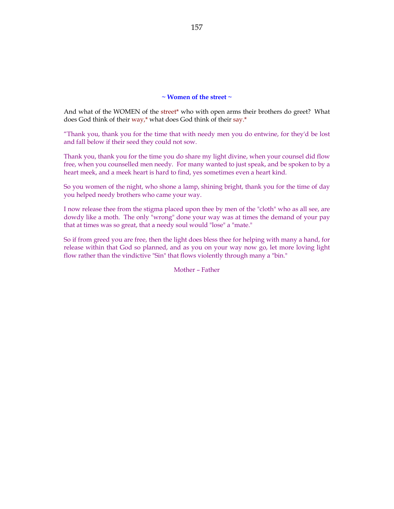## **~ Women of the street ~**

And what of the WOMEN of the street\* who with open arms their brothers do greet? What does God think of their way,\* what does God think of their say.\*

"Thank you, thank you for the time that with needy men you do entwine, for they'd be lost and fall below if their seed they could not sow.

Thank you, thank you for the time you do share my light divine, when your counsel did flow free, when you counselled men needy. For many wanted to just speak, and be spoken to by a heart meek, and a meek heart is hard to find, yes sometimes even a heart kind.

So you women of the night, who shone a lamp, shining bright, thank you for the time of day you helped needy brothers who came your way.

I now release thee from the stigma placed upon thee by men of the "cloth" who as all see, are dowdy like a moth. The only "wrong" done your way was at times the demand of your pay that at times was so great, that a needy soul would "lose" a "mate."

So if from greed you are free, then the light does bless thee for helping with many a hand, for release within that God so planned, and as you on your way now go, let more loving light flow rather than the vindictive "Sin" that flows violently through many a "bin."

Mother – Father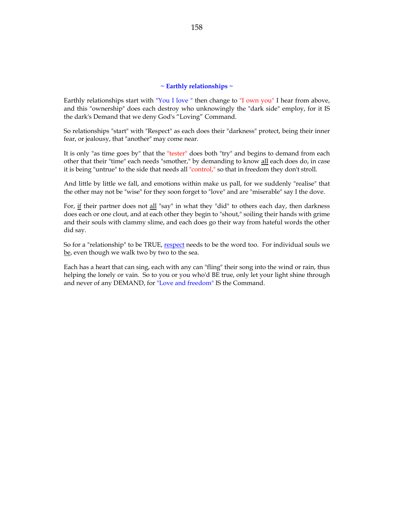## **~ Earthly relationships ~**

Earthly relationships start with "You I love " then change to "I own you" I hear from above, and this "ownership" does each destroy who unknowingly the "dark side" employ, for it IS the dark's Demand that we deny God's "Loving" Command.

So relationships "start" with "Respect" as each does their "darkness" protect, being their inner fear, or jealousy, that "another" may come near.

It is only "as time goes by" that the "tester" does both "try" and begins to demand from each other that their "time" each needs "smother," by demanding to know all each does do, in case it is being "untrue" to the side that needs all "control," so that in freedom they don't stroll.

And little by little we fall, and emotions within make us pall, for we suddenly "realise" that the other may not be "wise" for they soon forget to "love" and are "miserable" say I the dove.

For, if their partner does not all "say" in what they "did" to others each day, then darkness does each or one clout, and at each other they begin to "shout," soiling their hands with grime and their souls with clammy slime, and each does go their way from hateful words the other did say.

So for a "relationship" to be TRUE, respect needs to be the word too. For individual souls we be, even though we walk two by two to the sea.

Each has a heart that can sing, each with any can "fling" their song into the wind or rain, thus helping the lonely or vain. So to you or you who'd BE true, only let your light shine through and never of any DEMAND, for "Love and freedom" IS the Command.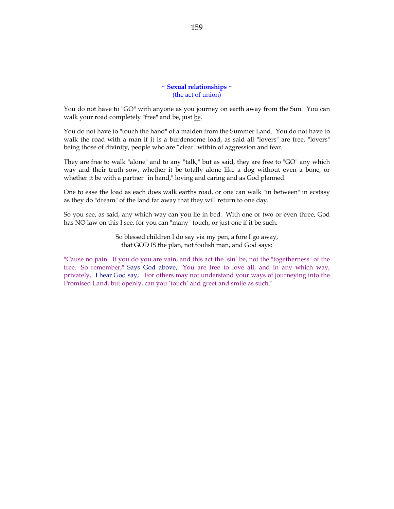**~ Sexual relationships ~** (the act of union)

You do not have to "GO" with anyone as you journey on earth away from the Sun. You can walk your road completely "free" and be, just be.

You do not have to "touch the hand" of a maiden from the Summer Land. You do not have to walk the road with a man if it is a burdensome load, as said all "lovers" are free, "lovers" being those of divinity, people who are "clear" within of aggression and fear.

They are free to walk "alone" and to any "talk," but as said, they are free to "GO" any which way and their truth sow, whether it be totally alone like a dog without even a bone, or whether it be with a partner "in hand," loving and caring and as God planned.

One to ease the load as each does walk earths road, or one can walk "in between" in ecstasy as they do "dream" of the land far away that they will return to one day.

So you see, as said, any which way can you lie in bed. With one or two or even three, God has NO law on this I see, for you can "many" touch, or just one if it be such.

> So blessed children I do say via my pen, a'fore I go away, that GOD IS the plan, not foolish man, and God says:

"Cause no pain. If you do you are vain, and this act the 'sin' be, not the "togetherness" of the free. So remember," Says God above, "You are free to love all, and in any which way, privately," I hear God say, "For others may not understand your ways of journeying into the Promised Land, but openly, can you 'touch' and greet and smile as such."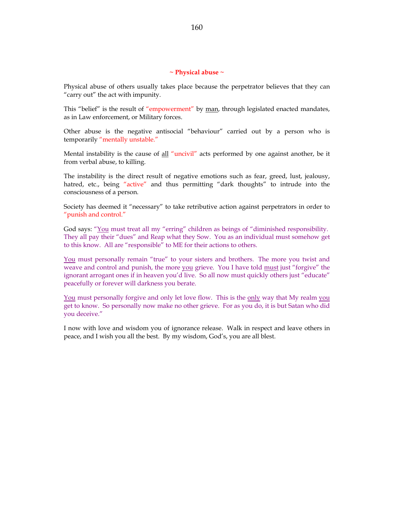#### **~ Physical abuse ~**

Physical abuse of others usually takes place because the perpetrator believes that they can "carry out" the act with impunity.

This "belief" is the result of "empowerment" by man, through legislated enacted mandates, as in Law enforcement, or Military forces.

Other abuse is the negative antisocial "behaviour" carried out by a person who is temporarily "mentally unstable."

Mental instability is the cause of all "uncivil" acts performed by one against another, be it from verbal abuse, to killing.

The instability is the direct result of negative emotions such as fear, greed, lust, jealousy, hatred, etc., being "active" and thus permitting "dark thoughts" to intrude into the consciousness of a person.

Society has deemed it "necessary" to take retributive action against perpetrators in order to "punish and control."

God says: "You must treat all my "erring" children as beings of "diminished responsibility. They all pay their "dues" and Reap what they Sow. You as an individual must somehow get to this know. All are "responsible" to ME for their actions to others.

You must personally remain "true" to your sisters and brothers. The more you twist and weave and control and punish, the more you grieve. You I have told must just "forgive" the ignorant arrogant ones if in heaven you'd live. So all now must quickly others just "educate" peacefully or forever will darkness you berate.

You must personally forgive and only let love flow. This is the only way that My realm you get to know. So personally now make no other grieve. For as you do, it is but Satan who did you deceive."

I now with love and wisdom you of ignorance release. Walk in respect and leave others in peace, and I wish you all the best. By my wisdom, God's, you are all blest.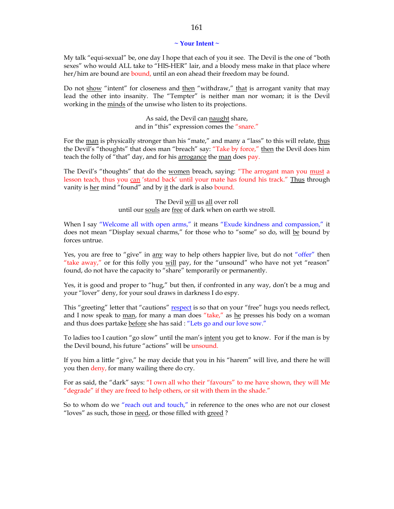### **~ Your Intent ~**

My talk "equi-sexual" be, one day I hope that each of you it see. The Devil is the one of "both sexes" who would ALL take to "HIS-HER" lair, and a bloody mess make in that place where her/him are bound are bound, until an eon ahead their freedom may be found.

Do not show "intent" for closeness and then "withdraw," that is arrogant vanity that may lead the other into insanity. The "Tempter" is neither man nor woman; it is the Devil working in the minds of the unwise who listen to its projections.

> As said, the Devil can naught share, and in "this" expression comes the "snare."

For the man is physically stronger than his "mate," and many a "lass" to this will relate, thus the Devil's "thoughts" that does man "breach" say: "Take by force," then the Devil does him teach the folly of "that" day, and for his arrogance the man does pay.

The Devil's "thoughts" that do the <u>women</u> breach, saying: "The arrogant man you must a lesson teach, thus you can 'stand back' until your mate has found his track." Thus through vanity is her mind "found" and by it the dark is also bound.

> The Devil will us all over roll until our souls are free of dark when on earth we stroll.

When I say "Welcome all with open arms," it means "Exude kindness and compassion," it does not mean "Display sexual charms," for those who to "some" so do, will be bound by forces untrue.

Yes, you are free to "give" in any way to help others happier live, but do not "offer" then "take away," or for this folly you will pay, for the "unsound" who have not yet "reason" found, do not have the capacity to "share" temporarily or permanently.

Yes, it is good and proper to "hug," but then, if confronted in any way, don't be a mug and your "lover" deny, for your soul draws in darkness I do espy.

This "greeting" letter that "cautions" respect is so that on your "free" hugs you needs reflect, and I now speak to man, for many a man does "take," as he presses his body on a woman and thus does partake before she has said : "Lets go and our love sow."

To ladies too I caution "go slow" until the man's intent you get to know. For if the man is by the Devil bound, his future "actions" will be unsound.

If you him a little "give," he may decide that you in his "harem" will live, and there he will you then deny, for many wailing there do cry.

For as said, the "dark" says: "I own all who their "favours" to me have shown, they will Me "degrade" if they are freed to help others, or sit with them in the shade."

So to whom do we "reach out and touch," in reference to the ones who are not our closest "loves" as such, those in need, or those filled with greed ?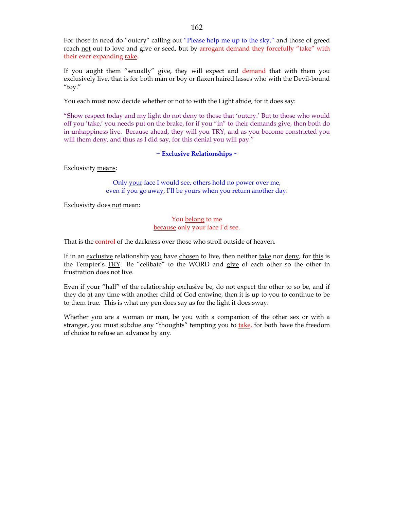For those in need do "outcry" calling out "Please help me up to the sky," and those of greed reach not out to love and give or seed, but by arrogant demand they forcefully "take" with their ever expanding rake.

If you aught them "sexually" give, they will expect and demand that with them you exclusively live, that is for both man or boy or flaxen haired lasses who with the Devil-bound "toy."

You each must now decide whether or not to with the Light abide, for it does say:

"Show respect today and my light do not deny to those that 'outcry.' But to those who would off you 'take,' you needs put on the brake, for if you "in" to their demands give, then both do in unhappiness live. Because ahead, they will you TRY, and as you become constricted you will them deny, and thus as I did say, for this denial you will pay."

# **~ Exclusive Relationships ~**

Exclusivity means:

Only your face I would see, others hold no power over me, even if you go away, I'll be yours when you return another day.

Exclusivity does not mean:

# You belong to me because only your face I'd see.

That is the control of the darkness over those who stroll outside of heaven.

If in an exclusive relationship you have chosen to live, then neither take nor deny, for this is the Tempter's TRY. Be "celibate" to the WORD and give of each other so the other in frustration does not live.

Even if your "half" of the relationship exclusive be, do not expect the other to so be, and if they do at any time with another child of God entwine, then it is up to you to continue to be to them true. This is what my pen does say as for the light it does sway.

Whether you are a woman or man, be you with a companion of the other sex or with a stranger, you must subdue any "thoughts" tempting you to take, for both have the freedom of choice to refuse an advance by any.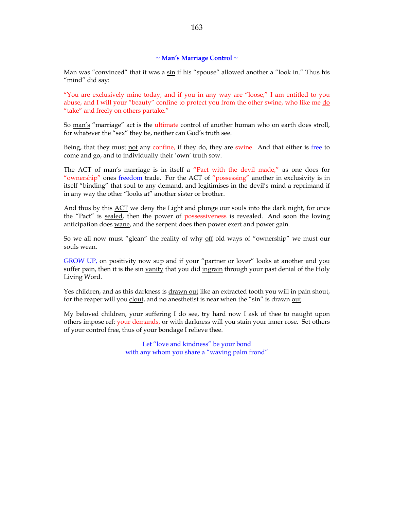# **~ Man's Marriage Control ~**

Man was "convinced" that it was a sin if his "spouse" allowed another a "look in." Thus his "mind" did say:

"You are exclusively mine <u>today</u>, and if you in any way are "loose," I am entitled to you abuse, and I will your "beauty" confine to protect you from the other swine, who like me do "take" and freely on others partake."

So man's "marriage" act is the ultimate control of another human who on earth does stroll, for whatever the "sex" they be, neither can God's truth see.

Being, that they must not any confine, if they do, they are swine. And that either is free to come and go, and to individually their 'own' truth sow.

The ACT of man's marriage is in itself a "Pact with the devil made," as one does for "ownership" ones freedom trade. For the ACT of "possessing" another in exclusivity is in itself "binding" that soul to any demand, and legitimises in the devil's mind a reprimand if in any way the other "looks at" another sister or brother.

And thus by this ACT we deny the Light and plunge our souls into the dark night, for once the "Pact" is sealed, then the power of possessiveness is revealed. And soon the loving anticipation does wane, and the serpent does then power exert and power gain.

So we all now must "glean" the reality of why off old ways of "ownership" we must our souls wean.

GROW UP, on positivity now sup and if your "partner or lover" looks at another and you suffer pain, then it is the sin vanity that you did ingrain through your past denial of the Holy Living Word.

Yes children, and as this darkness is drawn out like an extracted tooth you will in pain shout, for the reaper will you clout, and no anesthetist is near when the "sin" is drawn out.

My beloved children, your suffering I do see, try hard now I ask of thee to naught upon others impose ref: your demands, or with darkness will you stain your inner rose. Set others of your control free, thus of your bondage I relieve thee.

> Let "love and kindness" be your bond with any whom you share a "waving palm frond"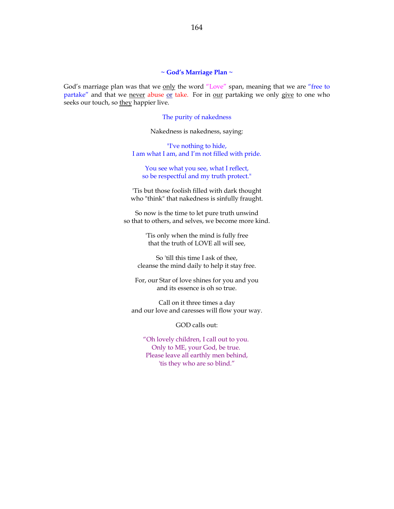### **~ God's Marriage Plan ~**

God's marriage plan was that we only the word "Love" span, meaning that we are "free to partake" and that we never abuse or take. For in our partaking we only give to one who seeks our touch, so they happier live.

#### The purity of nakedness

Nakedness is nakedness, saying:

"I've nothing to hide, I am what I am, and I'm not filled with pride.

You see what you see, what I reflect, so be respectful and my truth protect."

'Tis but those foolish filled with dark thought who "think" that nakedness is sinfully fraught.

So now is the time to let pure truth unwind so that to others, and selves, we become more kind.

> 'Tis only when the mind is fully free that the truth of LOVE all will see,

So 'till this time I ask of thee, cleanse the mind daily to help it stay free.

For, our Star of love shines for you and you and its essence is oh so true.

Call on it three times a day and our love and caresses will flow your way.

GOD calls out:

"Oh lovely children, I call out to you. Only to ME, your God, be true. Please leave all earthly men behind, 'tis they who are so blind."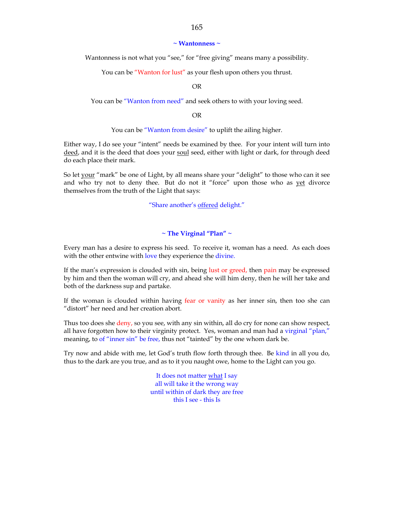### **~ Wantonness ~**

Wantonness is not what you "see," for "free giving" means many a possibility.

You can be "Wanton for lust" as your flesh upon others you thrust.

OR

You can be "Wanton from need" and seek others to with your loving seed.

OR

You can be "Wanton from desire" to uplift the ailing higher.

Either way, I do see your "intent" needs be examined by thee. For your intent will turn into deed, and it is the deed that does your soul seed, either with light or dark, for through deed do each place their mark.

So let your "mark" be one of Light, by all means share your "delight" to those who can it see and who try not to deny thee. But do not it "force" upon those who as yet divorce themselves from the truth of the Light that says:

"Share another's offered delight."

# **~ The Virginal "Plan" ~**

Every man has a desire to express his seed. To receive it, woman has a need. As each does with the other entwine with love they experience the divine.

If the man's expression is clouded with sin, being lust or greed, then pain may be expressed by him and then the woman will cry, and ahead she will him deny, then he will her take and both of the darkness sup and partake.

If the woman is clouded within having fear or vanity as her inner sin, then too she can "distort" her need and her creation abort.

Thus too does she deny, so you see, with any sin within, all do cry for none can show respect, all have forgotten how to their virginity protect. Yes, woman and man had a virginal "plan," meaning, to of "inner sin" be free, thus not "tainted" by the one whom dark be.

Try now and abide with me, let God's truth flow forth through thee. Be kind in all you do, thus to the dark are you true, and as to it you naught owe, home to the Light can you go.

> It does not matter what I say all will take it the wrong way until within of dark they are free this I see - this Is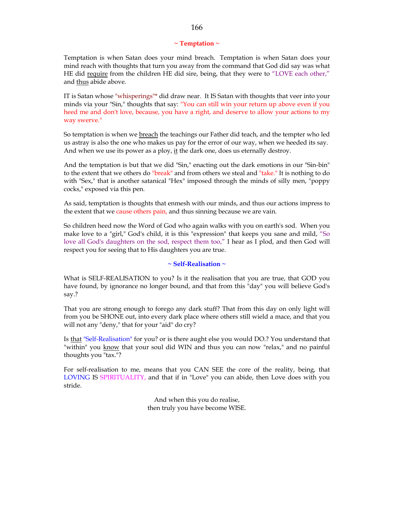## **~ Temptation ~**

Temptation is when Satan does your mind breach. Temptation is when Satan does your mind reach with thoughts that turn you away from the command that God did say was what HE did require from the children HE did sire, being, that they were to "LOVE each other," and thus abide above.

IT is Satan whose "whisperings"\* did draw near. It IS Satan with thoughts that veer into your minds via your "Sin," thoughts that say: "You can still win your return up above even if you heed me and don't love, because, you have a right, and deserve to allow your actions to my way swerve."

So temptation is when we breach the teachings our Father did teach, and the tempter who led us astray is also the one who makes us pay for the error of our way, when we heeded its say. And when we use its power as a ploy, it the dark one, does us eternally destroy.

And the temptation is but that we did "Sin," enacting out the dark emotions in our "Sin-bin" to the extent that we others do "break" and from others we steal and "take." It is nothing to do with "Sex," that is another satanical "Hex" imposed through the minds of silly men, "poppy cocks," exposed via this pen.

As said, temptation is thoughts that enmesh with our minds, and thus our actions impress to the extent that we cause others pain, and thus sinning because we are vain.

So children heed now the Word of God who again walks with you on earth's sod. When you make love to a "girl," God's child, it is this "expression" that keeps you sane and mild, "So love all God's daughters on the sod, respect them too," I hear as I plod, and then God will respect you for seeing that to His daughters you are true.

#### **~ Self-Realisation ~**

What is SELF-REALISATION to you? Is it the realisation that you are true, that GOD you have found, by ignorance no longer bound, and that from this "day" you will believe God's say.?

That you are strong enough to forego any dark stuff? That from this day on only light will from you be SHONE out, into every dark place where others still wield a mace, and that you will not any "deny," that for your "aid" do cry?

Is that "Self-Realisation" for you? or is there aught else you would DO.? You understand that "within" you know that your soul did WIN and thus you can now "relax," and no painful thoughts you "tax."?

For self-realisation to me, means that you CAN SEE the core of the reality, being, that LOVING IS SPIRITUALITY, and that if in "Love" you can abide, then Love does with you stride.

> And when this you do realise, then truly you have become WISE.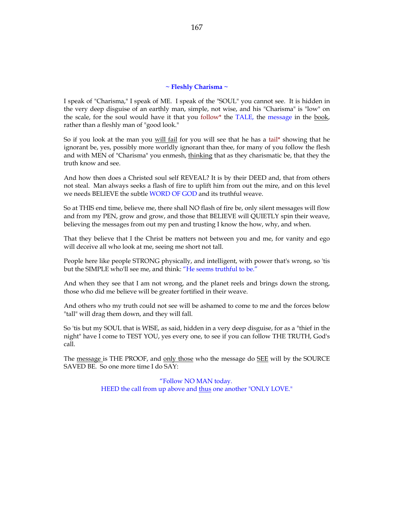#### **~ Fleshly Charisma ~**

I speak of "Charisma," I speak of ME. I speak of the "SOUL" you cannot see. It is hidden in the very deep disguise of an earthly man, simple, not wise, and his "Charisma" is "low" on the scale, for the soul would have it that you follow\* the TALE, the message in the book, rather than a fleshly man of "good look."

So if you look at the man you will fail for you will see that he has a tail\* showing that he ignorant be, yes, possibly more worldly ignorant than thee, for many of you follow the flesh and with MEN of "Charisma" you enmesh, thinking that as they charismatic be, that they the truth know and see.

And how then does a Christed soul self REVEAL? It is by their DEED and, that from others not steal. Man always seeks a flash of fire to uplift him from out the mire, and on this level we needs BELIEVE the subtle WORD OF GOD and its truthful weave.

So at THIS end time, believe me, there shall NO flash of fire be, only silent messages will flow and from my PEN, grow and grow, and those that BELIEVE will QUIETLY spin their weave, believing the messages from out my pen and trusting I know the how, why, and when.

That they believe that I the Christ be matters not between you and me, for vanity and ego will deceive all who look at me, seeing me short not tall.

People here like people STRONG physically, and intelligent, with power that's wrong, so 'tis but the SIMPLE who'll see me, and think: "He seems truthful to be."

And when they see that I am not wrong, and the planet reels and brings down the strong, those who did me believe will be greater fortified in their weave.

And others who my truth could not see will be ashamed to come to me and the forces below "tall" will drag them down, and they will fall.

So 'tis but my SOUL that is WISE, as said, hidden in a very deep disguise, for as a "thief in the night" have I come to TEST YOU, yes every one, to see if you can follow THE TRUTH, God's call.

The message is THE PROOF, and only those who the message do SEE will by the SOURCE SAVED BE. So one more time I do SAY:

> "Follow NO MAN today. HEED the call from up above and thus one another "ONLY LOVE."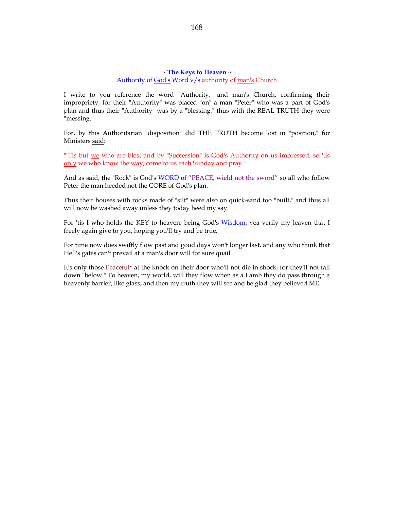# **~ The Keys to Heaven ~** Authority of God's Word v/s authority of man's Church

I write to you reference the word "Authority," and man's Church, confirming their impropriety, for their "Authority" was placed "on" a man "Peter" who was a part of God's plan and thus their "Authority" was by a "blessing," thus with the REAL TRUTH they were "messing."

For, by this Authoritarian "disposition" did THE TRUTH become lost in "position," for Ministers said:

"Tis but we who are blest and by "Succession" is God's Authority on us impressed, so 'tis only we who know the way, come to us each Sunday and pray."

And as said, the "Rock" is God's WORD of "PEACE, wield not the sword" so all who follow Peter the man heeded not the CORE of God's plan.

Thus their houses with rocks made of "silt" were also on quick-sand too "built," and thus all will now be washed away unless they today heed my say.

For 'tis I who holds the KEY to heaven, being God's Wisdom, yea verily my leaven that I freely again give to you, hoping you'll try and be true.

For time now does swiftly flow past and good days won't longer last, and any who think that Hell's gates can't prevail at a man's door will for sure quail.

It's only those Peaceful\* at the knock on their door who'll not die in shock, for they'll not fall down "below." To heaven, my world, will they flow when as a Lamb they do pass through a heavenly barrier, like glass, and then my truth they will see and be glad they believed ME.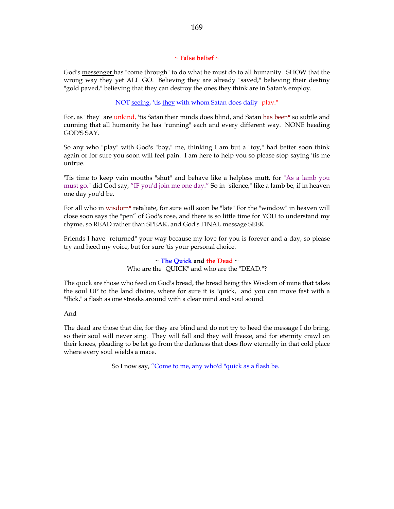# **~ False belief ~**

God's messenger has "come through" to do what he must do to all humanity. SHOW that the wrong way they yet ALL GO. Believing they are already "saved," believing their destiny "gold paved," believing that they can destroy the ones they think are in Satan's employ.

# NOT seeing, 'tis they with whom Satan does daily "play."

For, as "they" are unkind, 'tis Satan their minds does blind, and Satan has been\* so subtle and cunning that all humanity he has "running" each and every different way. NONE heeding GOD'S SAY.

So any who "play" with God's "boy," me, thinking I am but a "toy," had better soon think again or for sure you soon will feel pain. I am here to help you so please stop saying 'tis me untrue.

'Tis time to keep vain mouths "shut" and behave like a helpless mutt, for "As a lamb you must go," did God say, "IF you'd join me one day." So in "silence," like a lamb be, if in heaven one day you'd be.

For all who in wisdom\* retaliate, for sure will soon be "late" For the "window" in heaven will close soon says the "pen" of God's rose, and there is so little time for YOU to understand my rhyme, so READ rather than SPEAK, and God's FINAL message SEEK.

Friends I have "returned" your way because my love for you is forever and a day, so please try and heed my voice, but for sure 'tis your personal choice.

> **~ The Quick and the Dead ~** Who are the "QUICK" and who are the "DEAD."?

The quick are those who feed on God's bread, the bread being this Wisdom of mine that takes the soul UP to the land divine, where for sure it is "quick," and you can move fast with a "flick," a flash as one streaks around with a clear mind and soul sound.

## And

The dead are those that die, for they are blind and do not try to heed the message I do bring, so their soul will never sing. They will fall and they will freeze, and for eternity crawl on their knees, pleading to be let go from the darkness that does flow eternally in that cold place where every soul wields a mace.

So I now say, "Come to me, any who'd "quick as a flash be."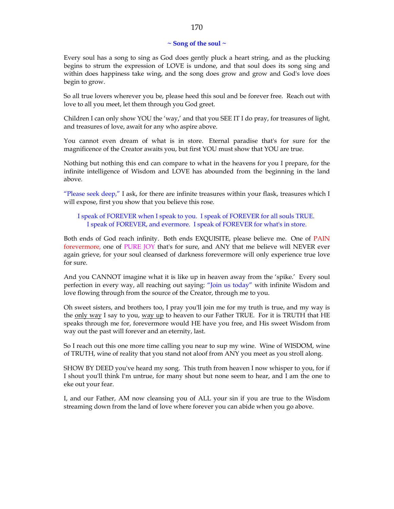## **~ Song of the soul ~**

Every soul has a song to sing as God does gently pluck a heart string, and as the plucking begins to strum the expression of LOVE is undone, and that soul does its song sing and within does happiness take wing, and the song does grow and grow and God's love does begin to grow.

So all true lovers wherever you be, please heed this soul and be forever free. Reach out with love to all you meet, let them through you God greet.

Children I can only show YOU the 'way,' and that you SEE IT I do pray, for treasures of light, and treasures of love, await for any who aspire above.

You cannot even dream of what is in store. Eternal paradise that's for sure for the magnificence of the Creator awaits you, but first YOU must show that YOU are true.

Nothing but nothing this end can compare to what in the heavens for you I prepare, for the infinite intelligence of Wisdom and LOVE has abounded from the beginning in the land above.

"Please seek deep," I ask, for there are infinite treasures within your flask, treasures which I will expose, first you show that you believe this rose.

I speak of FOREVER when I speak to you. I speak of FOREVER for all souls TRUE. I speak of FOREVER, and evermore. I speak of FOREVER for what's in store.

Both ends of God reach infinity. Both ends EXQUISITE, please believe me. One of PAIN forevermore, one of PURE JOY that's for sure, and ANY that me believe will NEVER ever again grieve, for your soul cleansed of darkness forevermore will only experience true love for sure.

And you CANNOT imagine what it is like up in heaven away from the 'spike.' Every soul perfection in every way, all reaching out saying: "Join us today" with infinite Wisdom and love flowing through from the source of the Creator, through me to you.

Oh sweet sisters, and brothers too, I pray you'll join me for my truth is true, and my way is the only way I say to you, way up to heaven to our Father TRUE. For it is TRUTH that HE speaks through me for, forevermore would HE have you free, and His sweet Wisdom from way out the past will forever and an eternity, last.

So I reach out this one more time calling you near to sup my wine. Wine of WISDOM, wine of TRUTH, wine of reality that you stand not aloof from ANY you meet as you stroll along.

SHOW BY DEED you've heard my song. This truth from heaven I now whisper to you, for if I shout you'll think I'm untrue, for many shout but none seem to hear, and I am the one to eke out your fear.

I, and our Father, AM now cleansing you of ALL your sin if you are true to the Wisdom streaming down from the land of love where forever you can abide when you go above.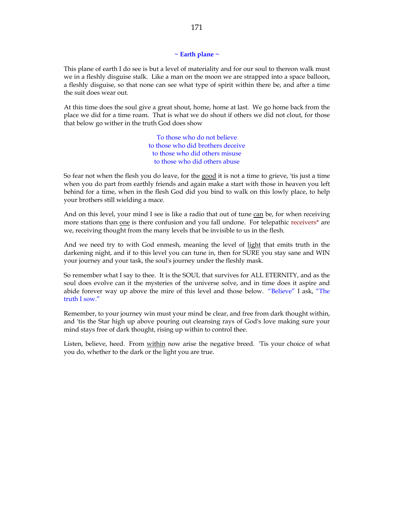# **~ Earth plane ~**

This plane of earth I do see is but a level of materiality and for our soul to thereon walk must we in a fleshly disguise stalk. Like a man on the moon we are strapped into a space balloon, a fleshly disguise, so that none can see what type of spirit within there be, and after a time the suit does wear out.

At this time does the soul give a great shout, home, home at last. We go home back from the place we did for a time roam. That is what we do shout if others we did not clout, for those that below go wither in the truth God does show

> To those who do not believe to those who did brothers deceive to those who did others misuse to those who did others abuse

So fear not when the flesh you do leave, for the good it is not a time to grieve, 'tis just a time when you do part from earthly friends and again make a start with those in heaven you left behind for a time, when in the flesh God did you bind to walk on this lowly place, to help your brothers still wielding a mace.

And on this level, your mind I see is like a radio that out of tune can be, for when receiving more stations than one is there confusion and you fall undone. For telepathic receivers\* are we, receiving thought from the many levels that be invisible to us in the flesh.

And we need try to with God enmesh, meaning the level of light that emits truth in the darkening night, and if to this level you can tune in, then for SURE you stay sane and WIN your journey and your task, the soul's journey under the fleshly mask.

So remember what I say to thee. It is the SOUL that survives for ALL ETERNITY, and as the soul does evolve can it the mysteries of the universe solve, and in time does it aspire and abide forever way up above the mire of this level and those below. "Believe" I ask, "The truth I sow."

Remember, to your journey win must your mind be clear, and free from dark thought within, and 'tis the Star high up above pouring out cleansing rays of God's love making sure your mind stays free of dark thought, rising up within to control thee.

Listen, believe, heed. From within now arise the negative breed. 'Tis your choice of what you do, whether to the dark or the light you are true.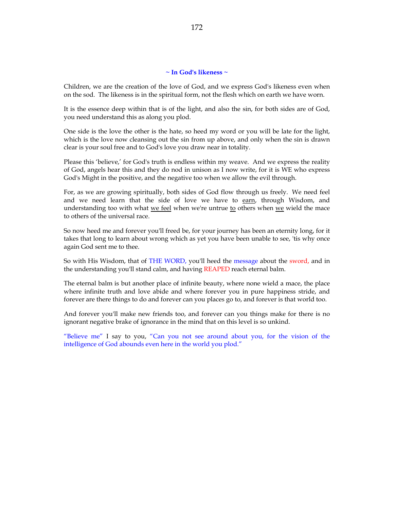#### **~ In God's likeness ~**

Children, we are the creation of the love of God, and we express God's likeness even when on the sod. The likeness is in the spiritual form, not the flesh which on earth we have worn.

It is the essence deep within that is of the light, and also the sin, for both sides are of God, you need understand this as along you plod.

One side is the love the other is the hate, so heed my word or you will be late for the light, which is the love now cleansing out the sin from up above, and only when the sin is drawn clear is your soul free and to God's love you draw near in totality.

Please this 'believe,' for God's truth is endless within my weave. And we express the reality of God, angels hear this and they do nod in unison as I now write, for it is WE who express God's Might in the positive, and the negative too when we allow the evil through.

For, as we are growing spiritually, both sides of God flow through us freely. We need feel and we need learn that the side of love we have to earn, through Wisdom, and understanding too with what we feel when we're untrue to others when  $\underline{we}$  wield the mace to others of the universal race.

So now heed me and forever you'll freed be, for your journey has been an eternity long, for it takes that long to learn about wrong which as yet you have been unable to see, 'tis why once again God sent me to thee.

So with His Wisdom, that of THE WORD, you'll heed the message about the sword, and in the understanding you'll stand calm, and having REAPED reach eternal balm.

The eternal balm is but another place of infinite beauty, where none wield a mace, the place where infinite truth and love abide and where forever you in pure happiness stride, and forever are there things to do and forever can you places go to, and forever is that world too.

And forever you'll make new friends too, and forever can you things make for there is no ignorant negative brake of ignorance in the mind that on this level is so unkind.

"Believe me" I say to you, "Can you not see around about you, for the vision of the intelligence of God abounds even here in the world you plod."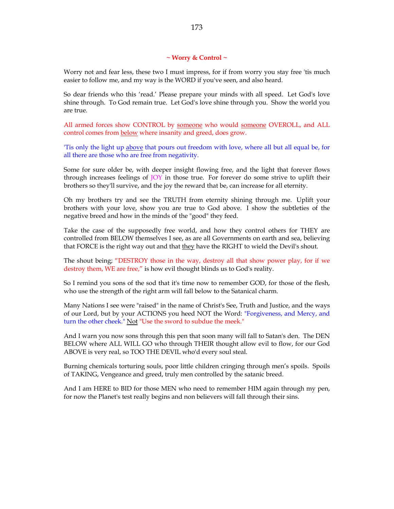### **~ Worry & Control ~**

Worry not and fear less, these two I must impress, for if from worry you stay free 'tis much easier to follow me, and my way is the WORD if you've seen, and also heard.

So dear friends who this 'read.' Please prepare your minds with all speed. Let God's love shine through. To God remain true. Let God's love shine through you. Show the world you are true.

All armed forces show CONTROL by someone who would someone OVEROLL, and ALL control comes from below where insanity and greed, does grow.

'Tis only the light up above that pours out freedom with love, where all but all equal be, for all there are those who are free from negativity.

Some for sure older be, with deeper insight flowing free, and the light that forever flows through increases feelings of JOY in those true. For forever do some strive to uplift their brothers so they'll survive, and the joy the reward that be, can increase for all eternity.

Oh my brothers try and see the TRUTH from eternity shining through me. Uplift your brothers with your love, show you are true to God above. I show the subtleties of the negative breed and how in the minds of the "good" they feed.

Take the case of the supposedly free world, and how they control others for THEY are controlled from BELOW themselves I see, as are all Governments on earth and sea, believing that FORCE is the right way out and that they have the RIGHT to wield the Devil's shout.

The shout being; "DESTROY those in the way, destroy all that show power play, for if we destroy them, WE are free," is how evil thought blinds us to God's reality.

So I remind you sons of the sod that it's time now to remember GOD, for those of the flesh, who use the strength of the right arm will fall below to the Satanical charm.

Many Nations I see were "raised" in the name of Christ's See, Truth and Justice, and the ways of our Lord, but by your ACTIONS you heed NOT the Word: "Forgiveness, and Mercy, and turn the other cheek." Not "Use the sword to subdue the meek."

And I warn you now sons through this pen that soon many will fall to Satan's den. The DEN BELOW where ALL WILL GO who through THEIR thought allow evil to flow, for our God ABOVE is very real, so TOO THE DEVIL who'd every soul steal.

Burning chemicals torturing souls, poor little children cringing through men's spoils. Spoils of TAKING, Vengeance and greed, truly men controlled by the satanic breed.

And I am HERE to BID for those MEN who need to remember HIM again through my pen, for now the Planet's test really begins and non believers will fall through their sins.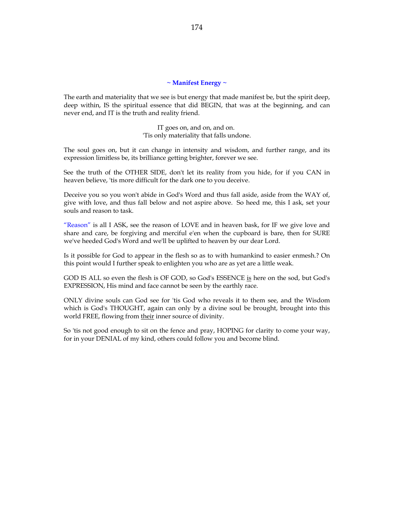## **~ Manifest Energy ~**

The earth and materiality that we see is but energy that made manifest be, but the spirit deep, deep within, IS the spiritual essence that did BEGIN, that was at the beginning, and can never end, and IT is the truth and reality friend.

> IT goes on, and on, and on. 'Tis only materiality that falls undone.

The soul goes on, but it can change in intensity and wisdom, and further range, and its expression limitless be, its brilliance getting brighter, forever we see.

See the truth of the OTHER SIDE, don't let its reality from you hide, for if you CAN in heaven believe, 'tis more difficult for the dark one to you deceive.

Deceive you so you won't abide in God's Word and thus fall aside, aside from the WAY of, give with love, and thus fall below and not aspire above. So heed me, this I ask, set your souls and reason to task.

"Reason" is all I ASK, see the reason of LOVE and in heaven bask, for IF we give love and share and care, be forgiving and merciful e'en when the cupboard is bare, then for SURE we've heeded God's Word and we'll be uplifted to heaven by our dear Lord.

Is it possible for God to appear in the flesh so as to with humankind to easier enmesh.? On this point would I further speak to enlighten you who are as yet are a little weak.

GOD IS ALL so even the flesh is OF GOD, so God's ESSENCE is here on the sod, but God's EXPRESSION, His mind and face cannot be seen by the earthly race.

ONLY divine souls can God see for 'tis God who reveals it to them see, and the Wisdom which is God's THOUGHT, again can only by a divine soul be brought, brought into this world FREE, flowing from their inner source of divinity.

So 'tis not good enough to sit on the fence and pray, HOPING for clarity to come your way, for in your DENIAL of my kind, others could follow you and become blind.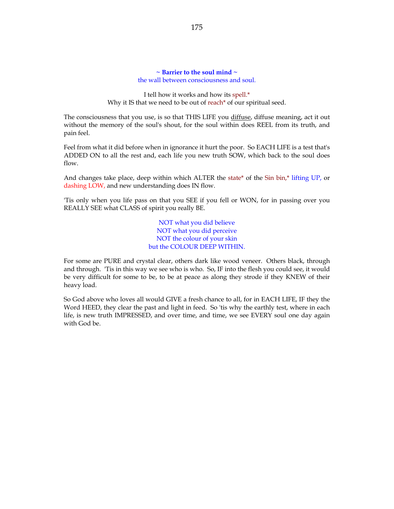#### **~ Barrier to the soul mind ~** the wall between consciousness and soul.

I tell how it works and how its spell.\* Why it IS that we need to be out of reach\* of our spiritual seed.

The consciousness that you use, is so that THIS LIFE you diffuse, diffuse meaning, act it out without the memory of the soul's shout, for the soul within does REEL from its truth, and pain feel.

Feel from what it did before when in ignorance it hurt the poor. So EACH LIFE is a test that's ADDED ON to all the rest and, each life you new truth SOW, which back to the soul does flow.

And changes take place, deep within which ALTER the state\* of the Sin bin,\* lifting UP, or dashing LOW, and new understanding does IN flow.

'Tis only when you life pass on that you SEE if you fell or WON, for in passing over you REALLY SEE what CLASS of spirit you really BE.

> NOT what you did believe NOT what you did perceive NOT the colour of your skin but the COLOUR DEEP WITHIN.

For some are PURE and crystal clear, others dark like wood veneer. Others black, through and through. 'Tis in this way we see who is who. So, IF into the flesh you could see, it would be very difficult for some to be, to be at peace as along they strode if they KNEW of their heavy load.

So God above who loves all would GIVE a fresh chance to all, for in EACH LIFE, IF they the Word HEED, they clear the past and light in feed. So 'tis why the earthly test, where in each life, is new truth IMPRESSED, and over time, and time, we see EVERY soul one day again with God be.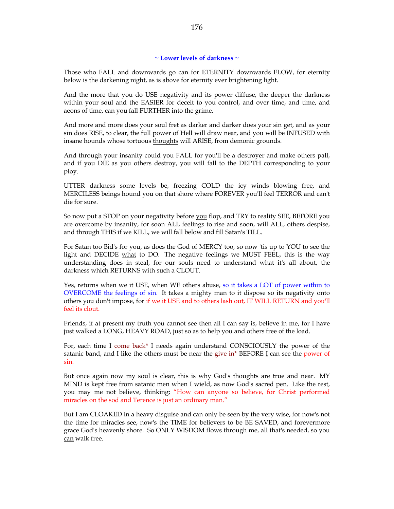# **~ Lower levels of darkness ~**

Those who FALL and downwards go can for ETERNITY downwards FLOW, for eternity below is the darkening night, as is above for eternity ever brightening light.

And the more that you do USE negativity and its power diffuse, the deeper the darkness within your soul and the EASIER for deceit to you control, and over time, and time, and aeons of time, can you fall FURTHER into the grime.

And more and more does your soul fret as darker and darker does your sin get, and as your sin does RISE, to clear, the full power of Hell will draw near, and you will be INFUSED with insane hounds whose tortuous thoughts will ARISE, from demonic grounds.

And through your insanity could you FALL for you'll be a destroyer and make others pall, and if you DIE as you others destroy, you will fall to the DEPTH corresponding to your ploy.

UTTER darkness some levels be, freezing COLD the icy winds blowing free, and MERCILESS beings hound you on that shore where FOREVER you'll feel TERROR and can't die for sure.

So now put a STOP on your negativity before you flop, and TRY to reality SEE, BEFORE you are overcome by insanity, for soon ALL feelings to rise and soon, will ALL, others despise, and through THIS if we KILL, we will fall below and fill Satan's TILL.

For Satan too Bid's for you, as does the God of MERCY too, so now 'tis up to YOU to see the light and DECIDE what to DO. The negative feelings we MUST FEEL, this is the way understanding does in steal, for our souls need to understand what it's all about, the darkness which RETURNS with such a CLOUT.

Yes, returns when we it USE, when WE others abuse, so it takes a LOT of power within to OVERCOME the feelings of sin. It takes a mighty man to it dispose so its negativity onto others you don't impose, for if we it USE and to others lash out, IT WILL RETURN and you'll feel its clout.

Friends, if at present my truth you cannot see then all I can say is, believe in me, for I have just walked a LONG, HEAVY ROAD, just so as to help you and others free of the load.

For, each time I come back\* I needs again understand CONSCIOUSLY the power of the satanic band, and I like the others must be near the give in\* BEFORE I can see the power of sin.

But once again now my soul is clear, this is why God's thoughts are true and near. MY MIND is kept free from satanic men when I wield, as now God's sacred pen. Like the rest, you may me not believe, thinking; "How can anyone so believe, for Christ performed miracles on the sod and Terence is just an ordinary man."

But I am CLOAKED in a heavy disguise and can only be seen by the very wise, for now's not the time for miracles see, now's the TIME for believers to be BE SAVED, and forevermore grace God's heavenly shore. So ONLY WISDOM flows through me, all that's needed, so you can walk free.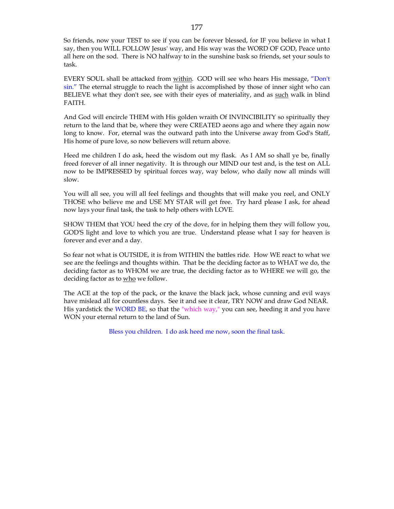So friends, now your TEST to see if you can be forever blessed, for IF you believe in what I say, then you WILL FOLLOW Jesus' way, and His way was the WORD OF GOD, Peace unto all here on the sod. There is NO halfway to in the sunshine bask so friends, set your souls to task.

EVERY SOUL shall be attacked from within. GOD will see who hears His message, "Don't sin." The eternal struggle to reach the light is accomplished by those of inner sight who can BELIEVE what they don't see, see with their eyes of materiality, and as such walk in blind FAITH.

And God will encircle THEM with His golden wraith Of INVINCIBILITY so spiritually they return to the land that be, where they were CREATED aeons ago and where they again now long to know. For, eternal was the outward path into the Universe away from God's Staff, His home of pure love, so now believers will return above.

Heed me children I do ask, heed the wisdom out my flask. As I AM so shall ye be, finally freed forever of all inner negativity. It is through our MIND our test and, is the test on ALL now to be IMPRESSED by spiritual forces way, way below, who daily now all minds will slow.

You will all see, you will all feel feelings and thoughts that will make you reel, and ONLY THOSE who believe me and USE MY STAR will get free. Try hard please I ask, for ahead now lays your final task, the task to help others with LOVE.

SHOW THEM that YOU heed the cry of the dove, for in helping them they will follow you, GOD'S light and love to which you are true. Understand please what I say for heaven is forever and ever and a day.

So fear not what is OUTSIDE, it is from WITHIN the battles ride. How WE react to what we see are the feelings and thoughts within. That be the deciding factor as to WHAT we do, the deciding factor as to WHOM we are true, the deciding factor as to WHERE we will go, the deciding factor as to who we follow.

The ACE at the top of the pack, or the knave the black jack, whose cunning and evil ways have mislead all for countless days. See it and see it clear, TRY NOW and draw God NEAR. His yardstick the WORD BE, so that the "which way," you can see, heeding it and you have WON your eternal return to the land of Sun.

Bless you children. I do ask heed me now, soon the final task.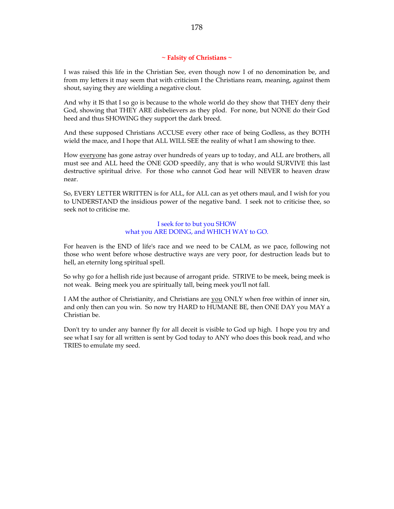# **~ Falsity of Christians ~**

I was raised this life in the Christian See, even though now I of no denomination be, and from my letters it may seem that with criticism I the Christians ream, meaning, against them shout, saying they are wielding a negative clout.

And why it IS that I so go is because to the whole world do they show that THEY deny their God, showing that THEY ARE disbelievers as they plod. For none, but NONE do their God heed and thus SHOWING they support the dark breed.

And these supposed Christians ACCUSE every other race of being Godless, as they BOTH wield the mace, and I hope that ALL WILL SEE the reality of what I am showing to thee.

How everyone has gone astray over hundreds of years up to today, and ALL are brothers, all must see and ALL heed the ONE GOD speedily, any that is who would SURVIVE this last destructive spiritual drive. For those who cannot God hear will NEVER to heaven draw near.

So, EVERY LETTER WRITTEN is for ALL, for ALL can as yet others maul, and I wish for you to UNDERSTAND the insidious power of the negative band. I seek not to criticise thee, so seek not to criticise me.

# I seek for to but you SHOW what you ARE DOING, and WHICH WAY to GO.

For heaven is the END of life's race and we need to be CALM, as we pace, following not those who went before whose destructive ways are very poor, for destruction leads but to hell, an eternity long spiritual spell.

So why go for a hellish ride just because of arrogant pride. STRIVE to be meek, being meek is not weak. Being meek you are spiritually tall, being meek you'll not fall.

I AM the author of Christianity, and Christians are you ONLY when free within of inner sin, and only then can you win. So now try HARD to HUMANE BE, then ONE DAY you MAY a Christian be.

Don't try to under any banner fly for all deceit is visible to God up high. I hope you try and see what I say for all written is sent by God today to ANY who does this book read, and who TRIES to emulate my seed.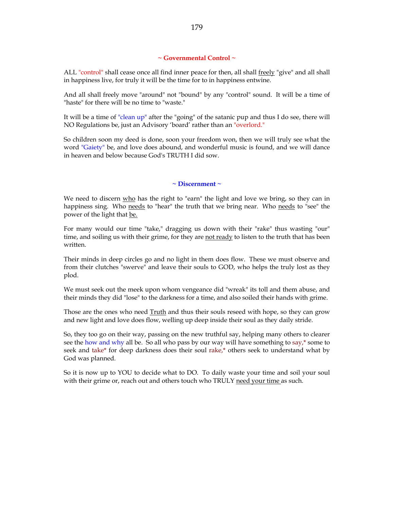## **~ Governmental Control ~**

ALL "control" shall cease once all find inner peace for then, all shall freely "give" and all shall in happiness live, for truly it will be the time for to in happiness entwine.

And all shall freely move "around" not "bound" by any "control" sound. It will be a time of "haste" for there will be no time to "waste."

It will be a time of "clean up" after the "going" of the satanic pup and thus I do see, there will NO Regulations be, just an Advisory 'board' rather than an "overlord."

So children soon my deed is done, soon your freedom won, then we will truly see what the word "Gaiety" be, and love does abound, and wonderful music is found, and we will dance in heaven and below because God's TRUTH I did sow.

# **~ Discernment ~**

We need to discern who has the right to "earn" the light and love we bring, so they can in happiness sing. Who needs to "hear" the truth that we bring near. Who needs to "see" the power of the light that be.

For many would our time "take," dragging us down with their "rake" thus wasting "our" time, and soiling us with their grime, for they are not ready to listen to the truth that has been written.

Their minds in deep circles go and no light in them does flow. These we must observe and from their clutches "swerve" and leave their souls to GOD, who helps the truly lost as they plod.

We must seek out the meek upon whom vengeance did "wreak" its toll and them abuse, and their minds they did "lose" to the darkness for a time, and also soiled their hands with grime.

Those are the ones who need Truth and thus their souls reseed with hope, so they can grow and new light and love does flow, welling up deep inside their soul as they daily stride.

So, they too go on their way, passing on the new truthful say, helping many others to clearer see the how and why all be. So all who pass by our way will have something to say,\* some to seek and take\* for deep darkness does their soul rake,\* others seek to understand what by God was planned.

So it is now up to YOU to decide what to DO. To daily waste your time and soil your soul with their grime or, reach out and others touch who TRULY need your time as such.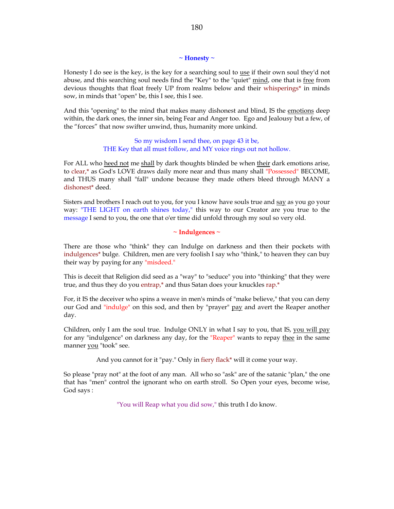#### **~ Honesty ~**

Honesty I do see is the key, is the key for a searching soul to use if their own soul they'd not abuse, and this searching soul needs find the "Key" to the "quiet" mind, one that is free from devious thoughts that float freely UP from realms below and their whisperings\* in minds sow, in minds that "open" be, this I see, this I see.

And this "opening" to the mind that makes many dishonest and blind, IS the emotions deep within, the dark ones, the inner sin, being Fear and Anger too. Ego and Jealousy but a few, of the "forces" that now swifter unwind, thus, humanity more unkind.

> So my wisdom I send thee, on page 43 it be, THE Key that all must follow, and MY voice rings out not hollow.

For ALL who heed not me shall by dark thoughts blinded be when their dark emotions arise, to clear,\* as God's LOVE draws daily more near and thus many shall "Possessed" BECOME, and THUS many shall "fall" undone because they made others bleed through MANY a dishonest\* deed.

Sisters and brothers I reach out to you, for you I know have souls true and say as you go your way: "THE LIGHT on earth shines today," this way to our Creator are you true to the message I send to you, the one that o'er time did unfold through my soul so very old.

**~ Indulgences ~**

There are those who "think" they can Indulge on darkness and then their pockets with indulgences\* bulge. Children, men are very foolish I say who "think," to heaven they can buy their way by paying for any "misdeed."

This is deceit that Religion did seed as a "way" to "seduce" you into "thinking" that they were true, and thus they do you entrap,\* and thus Satan does your knuckles rap.\*

For, it IS the deceiver who spins a weave in men's minds of "make believe," that you can deny our God and "indulge" on this sod, and then by "prayer" pay and avert the Reaper another day.

Children, only I am the soul true. Indulge ONLY in what I say to you, that IS, you will pay for any "indulgence" on darkness any day, for the "Reaper" wants to repay thee in the same manner you "took" see.

And you cannot for it "pay." Only in fiery flack\* will it come your way.

So please "pray not" at the foot of any man. All who so "ask" are of the satanic "plan," the one that has "men" control the ignorant who on earth stroll. So Open your eyes, become wise, God says :

"You will Reap what you did sow," this truth I do know.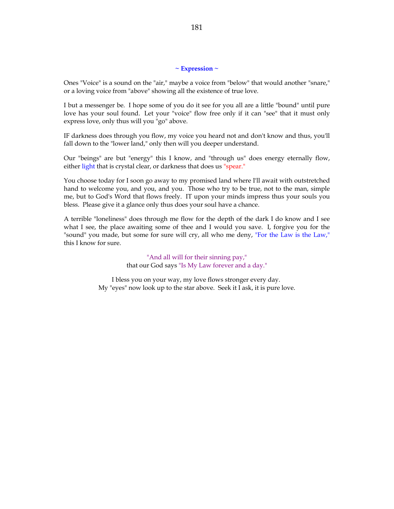## **~ Expression ~**

Ones "Voice" is a sound on the "air," maybe a voice from "below" that would another "snare," or a loving voice from "above" showing all the existence of true love.

I but a messenger be. I hope some of you do it see for you all are a little "bound" until pure love has your soul found. Let your "voice" flow free only if it can "see" that it must only express love, only thus will you "go" above.

IF darkness does through you flow, my voice you heard not and don't know and thus, you'll fall down to the "lower land," only then will you deeper understand.

Our "beings" are but "energy" this I know, and "through us" does energy eternally flow, either light that is crystal clear, or darkness that does us "spear."

You choose today for I soon go away to my promised land where I'll await with outstretched hand to welcome you, and you, and you. Those who try to be true, not to the man, simple me, but to God's Word that flows freely. IT upon your minds impress thus your souls you bless. Please give it a glance only thus does your soul have a chance.

A terrible "loneliness" does through me flow for the depth of the dark I do know and I see what I see, the place awaiting some of thee and I would you save. I, forgive you for the "sound" you made, but some for sure will cry, all who me deny, "For the Law is the Law," this I know for sure.

> "And all will for their sinning pay," that our God says "Is My Law forever and a day."

I bless you on your way, my love flows stronger every day. My "eyes" now look up to the star above. Seek it I ask, it is pure love.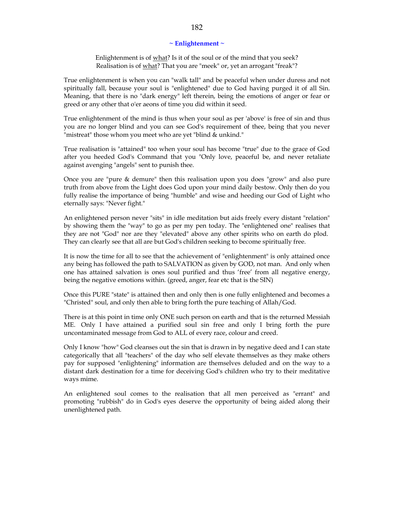## **~ Enlightenment ~**

Enlightenment is of what? Is it of the soul or of the mind that you seek? Realisation is of what? That you are "meek" or, yet an arrogant "freak"?

True enlightenment is when you can "walk tall" and be peaceful when under duress and not spiritually fall, because your soul is "enlightened" due to God having purged it of all Sin. Meaning, that there is no "dark energy" left therein, being the emotions of anger or fear or greed or any other that o'er aeons of time you did within it seed.

True enlightenment of the mind is thus when your soul as per 'above' is free of sin and thus you are no longer blind and you can see God's requirement of thee, being that you never "mistreat" those whom you meet who are yet "blind & unkind."

True realisation is "attained" too when your soul has become "true" due to the grace of God after you heeded God's Command that you "Only love, peaceful be, and never retaliate against avenging "angels" sent to punish thee.

Once you are "pure & demure" then this realisation upon you does "grow" and also pure truth from above from the Light does God upon your mind daily bestow. Only then do you fully realise the importance of being "humble" and wise and heeding our God of Light who eternally says: "Never fight."

An enlightened person never "sits" in idle meditation but aids freely every distant "relation" by showing them the "way" to go as per my pen today. The "enlightened one" realises that they are not "God" nor are they "elevated" above any other spirits who on earth do plod. They can clearly see that all are but God's children seeking to become spiritually free.

It is now the time for all to see that the achievement of "enlightenment" is only attained once any being has followed the path to SALVATION as given by GOD, not man. And only when one has attained salvation is ones soul purified and thus 'free' from all negative energy, being the negative emotions within. (greed, anger, fear etc that is the SIN)

Once this PURE "state" is attained then and only then is one fully enlightened and becomes a "Christed" soul, and only then able to bring forth the pure teaching of Allah/God.

There is at this point in time only ONE such person on earth and that is the returned Messiah ME. Only I have attained a purified soul sin free and only I bring forth the pure uncontaminated message from God to ALL of every race, colour and creed.

Only I know "how" God cleanses out the sin that is drawn in by negative deed and I can state categorically that all "teachers" of the day who self elevate themselves as they make others pay for supposed "enlightening" information are themselves deluded and on the way to a distant dark destination for a time for deceiving God's children who try to their meditative ways mime.

An enlightened soul comes to the realisation that all men perceived as "errant" and promoting "rubbish" do in God's eyes deserve the opportunity of being aided along their unenlightened path.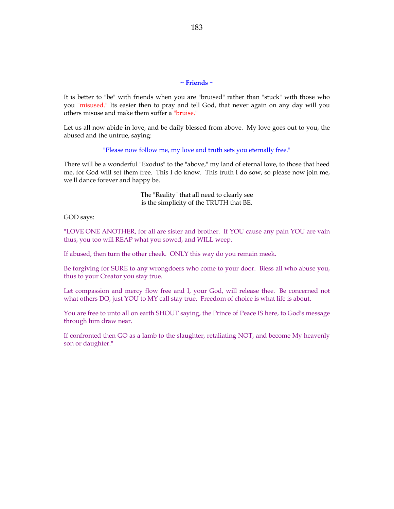# **~ Friends ~**

It is better to "be" with friends when you are "bruised" rather than "stuck" with those who you "misused." Its easier then to pray and tell God, that never again on any day will you others misuse and make them suffer a "bruise."

Let us all now abide in love, and be daily blessed from above. My love goes out to you, the abused and the untrue, saying:

"Please now follow me, my love and truth sets you eternally free."

There will be a wonderful "Exodus" to the "above," my land of eternal love, to those that heed me, for God will set them free. This I do know. This truth I do sow, so please now join me, we'll dance forever and happy be.

> The "Reality" that all need to clearly see is the simplicity of the TRUTH that BE.

GOD says:

"LOVE ONE ANOTHER, for all are sister and brother. If YOU cause any pain YOU are vain thus, you too will REAP what you sowed, and WILL weep.

If abused, then turn the other cheek. ONLY this way do you remain meek.

Be forgiving for SURE to any wrongdoers who come to your door. Bless all who abuse you, thus to your Creator you stay true.

Let compassion and mercy flow free and I, your God, will release thee. Be concerned not what others DO, just YOU to MY call stay true. Freedom of choice is what life is about.

You are free to unto all on earth SHOUT saying, the Prince of Peace IS here, to God's message through him draw near.

If confronted then GO as a lamb to the slaughter, retaliating NOT, and become My heavenly son or daughter."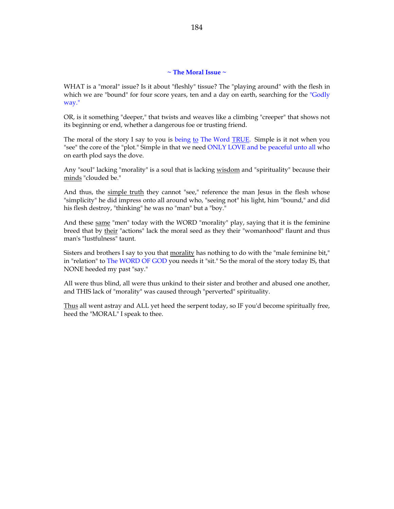## **~ The Moral Issue ~**

WHAT is a "moral" issue? Is it about "fleshly" tissue? The "playing around" with the flesh in which we are "bound" for four score years, ten and a day on earth, searching for the "Godly way."

OR, is it something "deeper," that twists and weaves like a climbing "creeper" that shows not its beginning or end, whether a dangerous foe or trusting friend.

The moral of the story I say to you is being to The Word TRUE. Simple is it not when you "see" the core of the "plot." Simple in that we need ONLY LOVE and be peaceful unto all who on earth plod says the dove.

Any "soul" lacking "morality" is a soul that is lacking wisdom and "spirituality" because their minds "clouded be."

And thus, the simple truth they cannot "see," reference the man Jesus in the flesh whose "simplicity" he did impress onto all around who, "seeing not" his light, him "bound," and did his flesh destroy, "thinking" he was no "man" but a "boy."

And these same "men" today with the WORD "morality" play, saying that it is the feminine breed that by their "actions" lack the moral seed as they their "womanhood" flaunt and thus man's "lustfulness" taunt.

Sisters and brothers I say to you that morality has nothing to do with the "male feminine bit," in "relation" to The WORD OF GOD you needs it "sit." So the moral of the story today IS, that NONE heeded my past "say."

All were thus blind, all were thus unkind to their sister and brother and abused one another, and THIS lack of "morality" was caused through "perverted" spirituality.

Thus all went astray and ALL yet heed the serpent today, so IF you'd become spiritually free, heed the "MORAL" I speak to thee.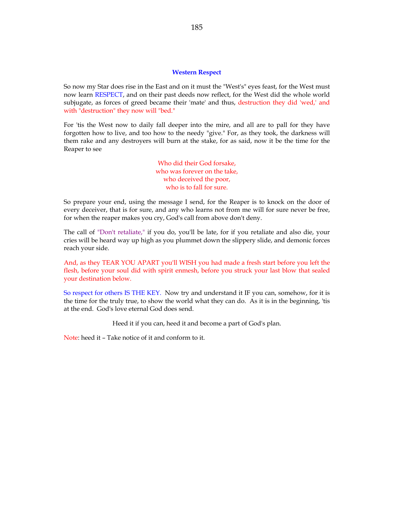### **Western Respect**

So now my Star does rise in the East and on it must the "West's" eyes feast, for the West must now learn RESPECT, and on their past deeds now reflect, for the West did the whole world subjugate, as forces of greed became their 'mate' and thus, destruction they did 'wed,' and with "destruction" they now will "bed."

For 'tis the West now to daily fall deeper into the mire, and all are to pall for they have forgotten how to live, and too how to the needy "give." For, as they took, the darkness will them rake and any destroyers will burn at the stake, for as said, now it be the time for the Reaper to see

> Who did their God forsake, who was forever on the take, who deceived the poor, who is to fall for sure.

So prepare your end, using the message I send, for the Reaper is to knock on the door of every deceiver, that is for sure, and any who learns not from me will for sure never be free, for when the reaper makes you cry, God's call from above don't deny.

The call of "Don't retaliate," if you do, you'll be late, for if you retaliate and also die, your cries will be heard way up high as you plummet down the slippery slide, and demonic forces reach your side.

And, as they TEAR YOU APART you'll WISH you had made a fresh start before you left the flesh, before your soul did with spirit enmesh, before you struck your last blow that sealed your destination below.

So respect for others IS THE KEY. Now try and understand it IF you can, somehow, for it is the time for the truly true, to show the world what they can do. As it is in the beginning, 'tis at the end. God's love eternal God does send.

Heed it if you can, heed it and become a part of God's plan.

Note: heed it – Take notice of it and conform to it.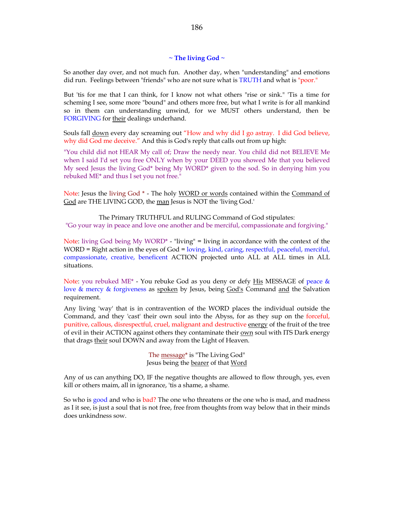# **~ The living God ~**

So another day over, and not much fun. Another day, when "understanding" and emotions did run. Feelings between "friends" who are not sure what is TRUTH and what is "poor."

But 'tis for me that I can think, for I know not what others "rise or sink." 'Tis a time for scheming I see, some more "bound" and others more free, but what I write is for all mankind so in them can understanding unwind, for we MUST others understand, then be FORGIVING for their dealings underhand.

Souls fall down every day screaming out "How and why did I go astray. I did God believe, why did God me deceive." And this is God's reply that calls out from up high:

"You child did not HEAR My call of; Draw the needy near. You child did not BELIEVE Me when I said I'd set you free ONLY when by your DEED you showed Me that you believed My seed Jesus the living God\* being My WORD\* given to the sod. So in denying him you rebuked ME\* and thus I set you not free."

Note: Jesus the living God \* - The holy WORD or words contained within the Command of God are THE LIVING GOD, the man Jesus is NOT the 'living God.'

The Primary TRUTHFUL and RULING Command of God stipulates: "Go your way in peace and love one another and be merciful, compassionate and forgiving."

Note: living God being My WORD<sup>\*</sup> - "living" = living in accordance with the context of the WORD = Right action in the eyes of God = loving, kind, caring, respectful, peaceful, merciful, compassionate, creative, beneficent ACTION projected unto ALL at ALL times in ALL situations.

Note: you rebuked ME\* - You rebuke God as you deny or defy His MESSAGE of peace  $\&$ love & mercy & forgiveness as spoken by Jesus, being God's Command and the Salvation requirement.

Any living 'way' that is in contravention of the WORD places the individual outside the Command, and they 'cast' their own soul into the Abyss, for as they sup on the forceful, punitive, callous, disrespectful, cruel, malignant and destructive energy of the fruit of the tree of evil in their ACTION against others they contaminate their own soul with ITS Dark energy that drags their soul DOWN and away from the Light of Heaven.

> The message<sup>\*</sup> is "The Living God" Jesus being the bearer of that Word

Any of us can anything DO, IF the negative thoughts are allowed to flow through, yes, even kill or others maim, all in ignorance, 'tis a shame, a shame.

So who is good and who is bad? The one who threatens or the one who is mad, and madness as I it see, is just a soul that is not free, free from thoughts from way below that in their minds does unkindness sow.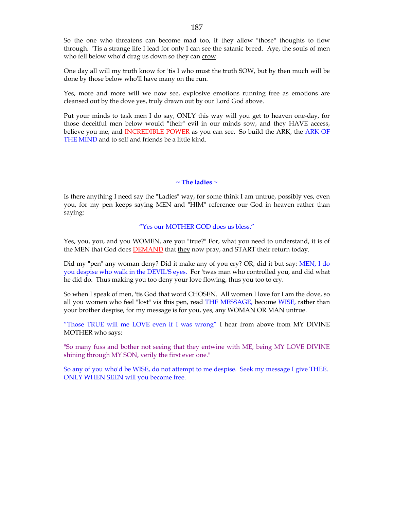So the one who threatens can become mad too, if they allow "those" thoughts to flow through. 'Tis a strange life I lead for only I can see the satanic breed. Aye, the souls of men who fell below who'd drag us down so they can crow.

One day all will my truth know for 'tis I who must the truth SOW, but by then much will be done by those below who'll have many on the run.

Yes, more and more will we now see, explosive emotions running free as emotions are cleansed out by the dove yes, truly drawn out by our Lord God above.

Put your minds to task men I do say, ONLY this way will you get to heaven one-day, for those deceitful men below would "their" evil in our minds sow, and they HAVE access, believe you me, and INCREDIBLE POWER as you can see. So build the ARK, the ARK OF THE MIND and to self and friends be a little kind.

# **~ The ladies ~**

Is there anything I need say the "Ladies" way, for some think I am untrue, possibly yes, even you, for my pen keeps saying MEN and "HIM" reference our God in heaven rather than saying:

# "Yes our MOTHER GOD does us bless."

Yes, you, you, and you WOMEN, are you "true?" For, what you need to understand, it is of the MEN that God does **DEMAND** that they now pray, and START their return today.

Did my "pen" any woman deny? Did it make any of you cry? OR, did it but say: MEN, I do you despise who walk in the DEVIL'S eyes. For 'twas man who controlled you, and did what he did do. Thus making you too deny your love flowing, thus you too to cry.

So when I speak of men, 'tis God that word CHOSEN. All women I love for I am the dove, so all you women who feel "lost" via this pen, read THE MESSAGE, become WISE, rather than your brother despise, for my message is for you, yes, any WOMAN OR MAN untrue.

"Those TRUE will me LOVE even if I was wrong" I hear from above from MY DIVINE MOTHER who says:

"So many fuss and bother not seeing that they entwine with ME, being MY LOVE DIVINE shining through MY SON, verily the first ever one."

So any of you who'd be WISE, do not attempt to me despise. Seek my message I give THEE. ONLY WHEN SEEN will you become free.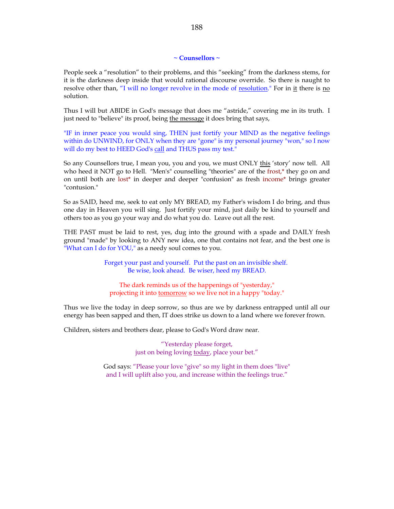## **~ Counsellors ~**

People seek a "resolution" to their problems, and this "seeking" from the darkness stems, for it is the darkness deep inside that would rational discourse override. So there is naught to resolve other than, "I will no longer revolve in the mode of resolution." For in it there is no solution.

Thus I will but ABIDE in God's message that does me "astride," covering me in its truth. I just need to "believe" its proof, being the message it does bring that says,

"IF in inner peace you would sing, THEN just fortify your MIND as the negative feelings within do UNWIND, for ONLY when they are "gone" is my personal journey "won," so I now will do my best to HEED God's call and THUS pass my test."

So any Counsellors true, I mean you, you and you, we must ONLY this 'story' now tell. All who heed it NOT go to Hell. "Men's" counselling "theories" are of the frost,<sup>\*</sup> they go on and on until both are lost\* in deeper and deeper "confusion" as fresh income\* brings greater "contusion."

So as SAID, heed me, seek to eat only MY BREAD, my Father's wisdom I do bring, and thus one day in Heaven you will sing. Just fortify your mind, just daily be kind to yourself and others too as you go your way and do what you do. Leave out all the rest.

THE PAST must be laid to rest, yes, dug into the ground with a spade and DAILY fresh ground "made" by looking to ANY new idea, one that contains not fear, and the best one is "What can I do for YOU," as a needy soul comes to you.

> Forget your past and yourself. Put the past on an invisible shelf. Be wise, look ahead. Be wiser, heed my BREAD.

The dark reminds us of the happenings of "yesterday," projecting it into tomorrow so we live not in a happy "today."

Thus we live the today in deep sorrow, so thus are we by darkness entrapped until all our energy has been sapped and then, IT does strike us down to a land where we forever frown.

Children, sisters and brothers dear, please to God's Word draw near.

"Yesterday please forget, just on being loving today, place your bet."

God says: "Please your love "give" so my light in them does "live" and I will uplift also you, and increase within the feelings true."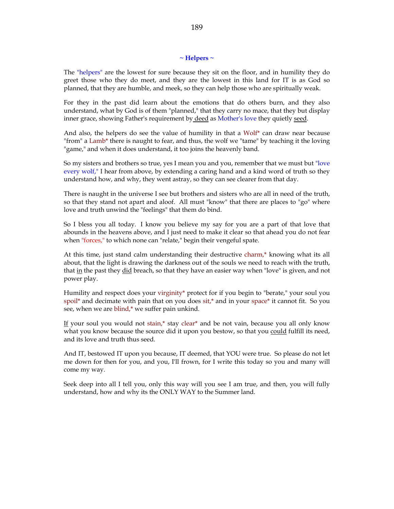### **~ Helpers ~**

The "helpers" are the lowest for sure because they sit on the floor, and in humility they do greet those who they do meet, and they are the lowest in this land for IT is as God so planned, that they are humble, and meek, so they can help those who are spiritually weak.

For they in the past did learn about the emotions that do others burn, and they also understand, what by God is of them "planned," that they carry no mace, that they but display inner grace, showing Father's requirement by deed as Mother's love they quietly seed.

And also, the helpers do see the value of humility in that a  $W\text{olf}^*$  can draw near because "from" a Lamb\* there is naught to fear, and thus, the wolf we "tame" by teaching it the loving "game," and when it does understand, it too joins the heavenly band.

So my sisters and brothers so true, yes I mean you and you, remember that we must but "love every wolf," I hear from above, by extending a caring hand and a kind word of truth so they understand how, and why, they went astray, so they can see clearer from that day.

There is naught in the universe I see but brothers and sisters who are all in need of the truth, so that they stand not apart and aloof. All must "know" that there are places to "go" where love and truth unwind the "feelings" that them do bind.

So I bless you all today. I know you believe my say for you are a part of that love that abounds in the heavens above, and I just need to make it clear so that ahead you do not fear when "forces," to which none can "relate," begin their vengeful spate.

At this time, just stand calm understanding their destructive charm,\* knowing what its all about, that the light is drawing the darkness out of the souls we need to reach with the truth, that in the past they did breach, so that they have an easier way when "love" is given, and not power play.

Humility and respect does your virginity\* protect for if you begin to "berate," your soul you spoil\* and decimate with pain that on you does  $s$ it,\* and in your space\* it cannot fit. So you see, when we are blind,\* we suffer pain unkind.

If your soul you would not stain,\* stay clear\* and be not vain, because you all only know what you know because the source did it upon you bestow, so that you could fulfill its need, and its love and truth thus seed.

And IT, bestowed IT upon you because, IT deemed, that YOU were true. So please do not let me down for then for you, and you, I'll frown, for I write this today so you and many will come my way.

Seek deep into all I tell you, only this way will you see I am true, and then, you will fully understand, how and why its the ONLY WAY to the Summer land.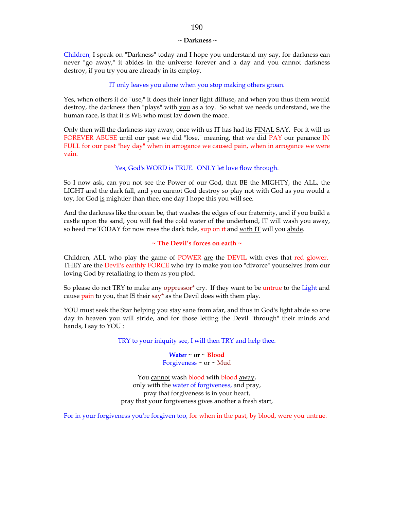#### **~ Darkness ~**

Children, I speak on "Darkness" today and I hope you understand my say, for darkness can never "go away," it abides in the universe forever and a day and you cannot darkness destroy, if you try you are already in its employ.

# IT only leaves you alone when you stop making others groan.

Yes, when others it do "use," it does their inner light diffuse, and when you thus them would destroy, the darkness then "plays" with you as a toy. So what we needs understand, we the human race, is that it is WE who must lay down the mace.

Only then will the darkness stay away, once with us IT has had its FINAL SAY. For it will us FOREVER ABUSE until our past we did "lose," meaning, that we did PAY our penance IN FULL for our past "hey day" when in arrogance we caused pain, when in arrogance we were vain.

### Yes, God's WORD is TRUE. ONLY let love flow through.

So I now ask, can you not see the Power of our God, that BE the MIGHTY, the ALL, the LIGHT and the dark fall, and you cannot God destroy so play not with God as you would a toy, for God is mightier than thee, one day I hope this you will see.

And the darkness like the ocean be, that washes the edges of our fraternity, and if you build a castle upon the sand, you will feel the cold water of the underhand, IT will wash you away, so heed me TODAY for now rises the dark tide, sup on it and with IT will you abide.

# **~ The Devil's forces on earth ~**

Children, ALL who play the game of POWER are the DEVIL with eyes that red glower. THEY are the Devil's earthly FORCE who try to make you too "divorce" yourselves from our loving God by retaliating to them as you plod.

So please do not TRY to make any oppressor\* cry. If they want to be untrue to the Light and cause pain to you, that IS their say\* as the Devil does with them play.

YOU must seek the Star helping you stay sane from afar, and thus in God's light abide so one day in heaven you will stride, and for those letting the Devil "through" their minds and hands, I say to YOU :

TRY to your iniquity see, I will then TRY and help thee.

**Water ~ or ~ Blood** Forgiveness  $\sim$  or  $\sim$  Mud

You cannot wash **blood** with **blood** away, only with the water of forgiveness, and pray, pray that forgiveness is in your heart, pray that your forgiveness gives another a fresh start,

For in your forgiveness you're forgiven too, for when in the past, by blood, were you untrue.

## 190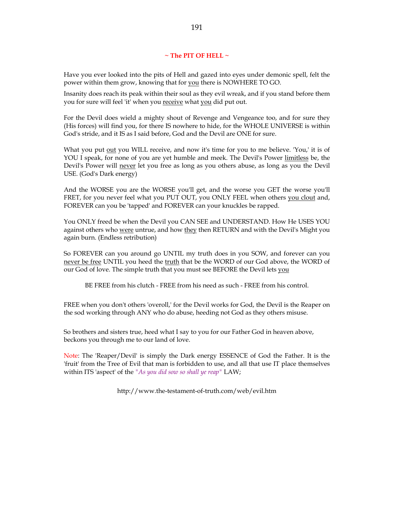# **~ The PIT OF HELL ~**

Have you ever looked into the pits of Hell and gazed into eyes under demonic spell, felt the power within them grow, knowing that for you there is NOWHERE TO GO.

Insanity does reach its peak within their soul as they evil wreak, and if you stand before them you for sure will feel 'it' when you receive what you did put out.

For the Devil does wield a mighty shout of Revenge and Vengeance too, and for sure they (His forces) will find you, for there IS nowhere to hide, for the WHOLE UNIVERSE is within God's stride, and it IS as I said before, God and the Devil are ONE for sure.

What you put out you WILL receive, and now it's time for you to me believe. 'You,' it is of YOU I speak, for none of you are yet humble and meek. The Devil's Power limitless be, the Devil's Power will never let you free as long as you others abuse, as long as you the Devil USE. (God's Dark energy)

And the WORSE you are the WORSE you'll get, and the worse you GET the worse you'll FRET, for you never feel what you PUT OUT, you ONLY FEEL when others you clout and, FOREVER can you be 'tapped' and FOREVER can your knuckles be rapped.

You ONLY freed be when the Devil you CAN SEE and UNDERSTAND. How He USES YOU against others who were untrue, and how they then RETURN and with the Devil's Might you again burn. (Endless retribution)

So FOREVER can you around go UNTIL my truth does in you SOW, and forever can you never be free UNTIL you heed the truth that be the WORD of our God above, the WORD of our God of love. The simple truth that you must see BEFORE the Devil lets you

BE FREE from his clutch - FREE from his need as such - FREE from his control.

FREE when you don't others 'overoll,' for the Devil works for God, the Devil is the Reaper on the sod working through ANY who do abuse, heeding not God as they others misuse.

So brothers and sisters true, heed what I say to you for our Father God in heaven above, beckons you through me to our land of love.

Note: The 'Reaper/Devil' is simply the Dark energy ESSENCE of God the Father. It is the 'fruit' from the Tree of Evil that man is forbidden to use, and all that use IT place themselves within ITS 'aspect' of the *"As you did sow so shall ye reap"* LAW;

http://www.the-testament-of-truth.com/web/evil.htm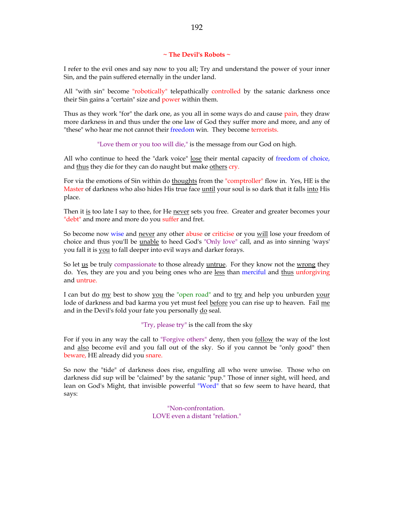# **~ The Devil's Robots ~**

I refer to the evil ones and say now to you all; Try and understand the power of your inner Sin, and the pain suffered eternally in the under land.

All "with sin" become "robotically" telepathically controlled by the satanic darkness once their Sin gains a "certain" size and power within them.

Thus as they work "for" the dark one, as you all in some ways do and cause pain, they draw more darkness in and thus under the one law of God they suffer more and more, and any of "these" who hear me not cannot their freedom win. They become terrorists.

"Love them or you too will die," is the message from our God on high.

All who continue to heed the "dark voice" lose their mental capacity of freedom of choice, and thus they die for they can do naught but make others cry.

For via the emotions of Sin within do thoughts from the "comptroller" flow in. Yes, HE is the Master of darkness who also hides His true face until your soul is so dark that it falls into His place.

Then it is too late I say to thee, for He never sets you free. Greater and greater becomes your "debt" and more and more do you suffer and fret.

So become now wise and never any other abuse or criticise or you will lose your freedom of choice and thus you'll be unable to heed God's "Only love" call, and as into sinning 'ways' you fall it is you to fall deeper into evil ways and darker forays.

So let us be truly compassionate to those already untrue. For they know not the wrong they do. Yes, they are you and you being ones who are less than merciful and thus unforgiving and untrue.

I can but do  $\frac{my}{m}$  best to show you the "open road" and to  $\frac{try}{m}$  and help you unburden your lode of darkness and bad karma you yet must feel before you can rise up to heaven. Fail me and in the Devil's fold your fate you personally do seal.

"Try, please try" is the call from the sky

For if you in any way the call to "Forgive others" deny, then you follow the way of the lost and also become evil and you fall out of the sky. So if you cannot be "only good" then beware, HE already did you snare.

So now the "tide" of darkness does rise, engulfing all who were unwise. Those who on darkness did sup will be "claimed" by the satanic "pup." Those of inner sight, will heed, and lean on God's Might, that invisible powerful "Word" that so few seem to have heard, that says:

> "Non-confrontation. LOVE even a distant "relation."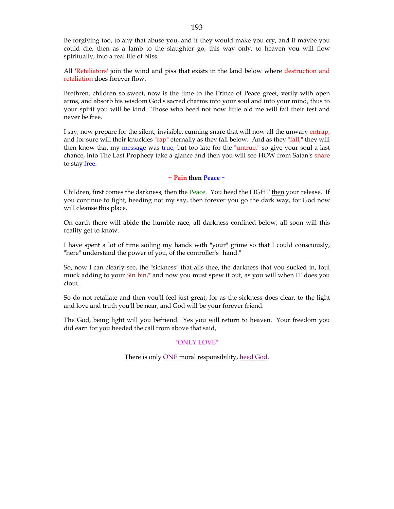Be forgiving too, to any that abuse you, and if they would make you cry, and if maybe you could die, then as a lamb to the slaughter go, this way only, to heaven you will flow spiritually, into a real life of bliss.

All 'Retaliators' join the wind and piss that exists in the land below where destruction and retaliation does forever flow.

Brethren, children so sweet, now is the time to the Prince of Peace greet, verily with open arms, and absorb his wisdom God's sacred charms into your soul and into your mind, thus to your spirit you will be kind. Those who heed not now little old me will fail their test and never be free.

I say, now prepare for the silent, invisible, cunning snare that will now all the unwary entrap, and for sure will their knuckles "rap" eternally as they fall below. And as they "fall," they will then know that my message was true, but too late for the "untrue," so give your soul a last chance, into The Last Prophecy take a glance and then you will see HOW from Satan's snare to stay free.

**~ Pain then Peace ~**

Children, first comes the darkness, then the Peace. You heed the LIGHT then your release. If you continue to fight, heeding not my say, then forever you go the dark way, for God now will cleanse this place.

On earth there will abide the humble race, all darkness confined below, all soon will this reality get to know.

I have spent a lot of time soiling my hands with "your" grime so that I could consciously, "here" understand the power of you, of the controller's "hand."

So, now I can clearly see, the "sickness" that ails thee, the darkness that you sucked in, foul muck adding to your Sin bin,\* and now you must spew it out, as you will when IT does you clout.

So do not retaliate and then you'll feel just great, for as the sickness does clear, to the light and love and truth you'll be near, and God will be your forever friend.

The God, being light will you befriend. Yes you will return to heaven. Your freedom you did earn for you heeded the call from above that said,

## "ONLY LOVE"

There is only ONE moral responsibility, heed God.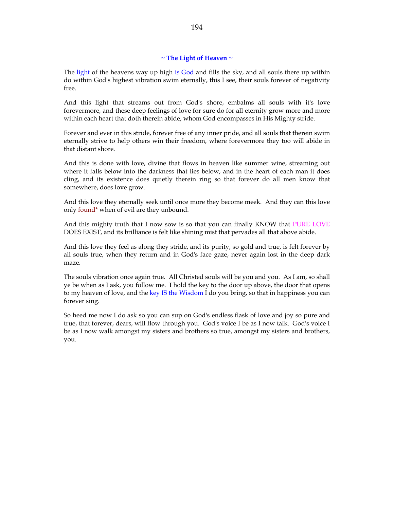# **~ The Light of Heaven ~**

The light of the heavens way up high is God and fills the sky, and all souls there up within do within God's highest vibration swim eternally, this I see, their souls forever of negativity free.

And this light that streams out from God's shore, embalms all souls with it's love forevermore, and these deep feelings of love for sure do for all eternity grow more and more within each heart that doth therein abide, whom God encompasses in His Mighty stride.

Forever and ever in this stride, forever free of any inner pride, and all souls that therein swim eternally strive to help others win their freedom, where forevermore they too will abide in that distant shore.

And this is done with love, divine that flows in heaven like summer wine, streaming out where it falls below into the darkness that lies below, and in the heart of each man it does cling, and its existence does quietly therein ring so that forever do all men know that somewhere, does love grow.

And this love they eternally seek until once more they become meek. And they can this love only found\* when of evil are they unbound.

And this mighty truth that I now sow is so that you can finally KNOW that PURE LOVE DOES EXIST, and its brilliance is felt like shining mist that pervades all that above abide.

And this love they feel as along they stride, and its purity, so gold and true, is felt forever by all souls true, when they return and in God's face gaze, never again lost in the deep dark maze.

The souls vibration once again true. All Christed souls will be you and you. As I am, so shall ye be when as I ask, you follow me. I hold the key to the door up above, the door that opens to my heaven of love, and the key IS the Wisdom I do you bring, so that in happiness you can forever sing.

So heed me now I do ask so you can sup on God's endless flask of love and joy so pure and true, that forever, dears, will flow through you. God's voice I be as I now talk. God's voice I be as I now walk amongst my sisters and brothers so true, amongst my sisters and brothers, you.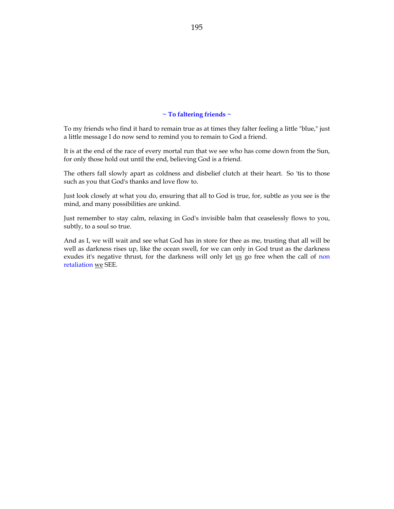## **~ To faltering friends ~**

To my friends who find it hard to remain true as at times they falter feeling a little "blue," just a little message I do now send to remind you to remain to God a friend.

It is at the end of the race of every mortal run that we see who has come down from the Sun, for only those hold out until the end, believing God is a friend.

The others fall slowly apart as coldness and disbelief clutch at their heart. So 'tis to those such as you that God's thanks and love flow to.

Just look closely at what you do, ensuring that all to God is true, for, subtle as you see is the mind, and many possibilities are unkind.

Just remember to stay calm, relaxing in God's invisible balm that ceaselessly flows to you, subtly, to a soul so true.

And as I, we will wait and see what God has in store for thee as me, trusting that all will be well as darkness rises up, like the ocean swell, for we can only in God trust as the darkness exudes it's negative thrust, for the darkness will only let us go free when the call of non retaliation we SEE.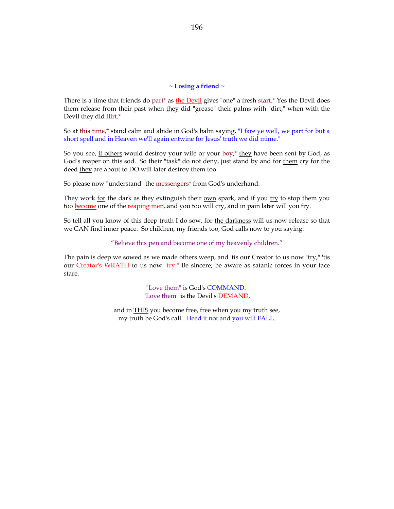### **~ Losing a friend ~**

There is a time that friends do part\* as the Devil gives "one" a fresh start.\* Yes the Devil does them release from their past when they did "grease" their palms with "dirt," when with the Devil they did flirt.\*

So at this time,\* stand calm and abide in God's balm saying, "I fare ye well, we part for but a short spell and in Heaven we'll again entwine for Jesus' truth we did mime."

So you see, if others would destroy your wife or your boy,\* they have been sent by God, as God's reaper on this sod. So their "task" do not deny, just stand by and for them cry for the deed they are about to DO will later destroy them too.

So please now "understand" the messengers\* from God's underhand.

They work for the dark as they extinguish their  $own$  spark, and if you  $try$  to stop them you</u></u> too become one of the reaping men, and you too will cry, and in pain later will you fry.

So tell all you know of this deep truth I do sow, for the darkness will us now release so that we CAN find inner peace. So children, my friends too, God calls now to you saying:

# "Believe this pen and become one of my heavenly children."

The pain is deep we sowed as we made others weep, and 'tis our Creator to us now "try," 'tis our Creator's WRATH to us now "fry." Be sincere; be aware as satanic forces in your face stare.

> "Love them" is God's COMMAND. "Love them" is the Devil's DEMAND,

and in **THIS** you become free, free when you my truth see, my truth be God's call. Heed it not and you will FALL.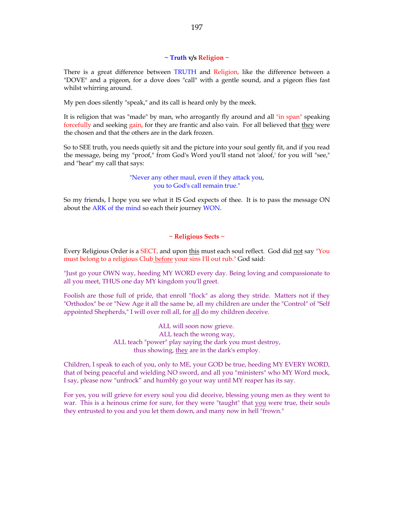## **~ Truth v/s Religion ~**

There is a great difference between TRUTH and Religion, like the difference between a "DOVE" and a pigeon, for a dove does "call" with a gentle sound, and a pigeon flies fast whilst whirring around.

My pen does silently "speak," and its call is heard only by the meek.

It is religion that was "made" by man, who arrogantly fly around and all "in span" speaking forcefully and seeking gain, for they are frantic and also vain. For all believed that they were the chosen and that the others are in the dark frozen.

So to SEE truth, you needs quietly sit and the picture into your soul gently fit, and if you read the message, being my "proof," from God's Word you'll stand not 'aloof,' for you will "see," and "hear" my call that says:

> "Never any other maul, even if they attack you, you to God's call remain true."

So my friends, I hope you see what it IS God expects of thee. It is to pass the message ON about the ARK of the mind so each their journey WON.

# **~ Religious Sects ~**

Every Religious Order is a SECT, and upon this must each soul reflect. God did not say "You must belong to a religious Club before your sins I'll out rub." God said:

"Just go your OWN way, heeding MY WORD every day. Being loving and compassionate to all you meet, THUS one day MY kingdom you'll greet.

Foolish are those full of pride, that enroll "flock" as along they stride. Matters not if they "Orthodox" be or "New Age it all the same be, all my children are under the "Control" of "Self appointed Shepherds," I will over roll all, for all do my children deceive.

> ALL will soon now grieve. ALL teach the wrong way, ALL teach "power" play saying the dark you must destroy, thus showing, they are in the dark's employ.

Children, I speak to each of you, only to ME, your GOD be true, heeding MY EVERY WORD, that of being peaceful and wielding NO sword, and all you "ministers" who MY Word mock, I say, please now "unfrock" and humbly go your way until MY reaper has its say.

For yes, you will grieve for every soul you did deceive, blessing young men as they went to war. This is a heinous crime for sure, for they were "taught" that you were true, their souls they entrusted to you and you let them down, and many now in hell "frown."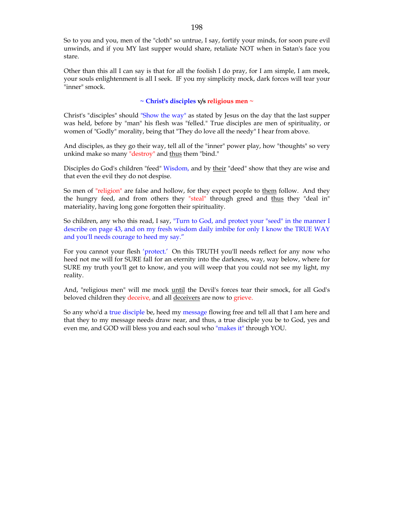So to you and you, men of the "cloth" so untrue, I say, fortify your minds, for soon pure evil unwinds, and if you MY last supper would share, retaliate NOT when in Satan's face you stare.

Other than this all I can say is that for all the foolish I do pray, for I am simple, I am meek, your souls enlightenment is all I seek. IF you my simplicity mock, dark forces will tear your "inner" smock.

# **~ Christ's disciples v/s religious men ~**

Christ's "disciples" should "Show the way" as stated by Jesus on the day that the last supper was held, before by "man" his flesh was "felled." True disciples are men of spirituality, or women of "Godly" morality, being that "They do love all the needy" I hear from above.

And disciples, as they go their way, tell all of the "inner" power play, how "thoughts" so very unkind make so many "destroy" and thus them "bind."

Disciples do God's children "feed" Wisdom, and by their "deed" show that they are wise and that even the evil they do not despise.

So men of "religion" are false and hollow, for they expect people to them follow. And they the hungry feed, and from others they "steal" through greed and thus they "deal in" materiality, having long gone forgotten their spirituality.

So children, any who this read, I say, "Turn to God, and protect your "seed" in the manner I describe on page 43, and on my fresh wisdom daily imbibe for only I know the TRUE WAY and you'll needs courage to heed my say."

For you cannot your flesh 'protect.' On this TRUTH you'll needs reflect for any now who heed not me will for SURE fall for an eternity into the darkness, way, way below, where for SURE my truth you'll get to know, and you will weep that you could not see my light, my reality.

And, "religious men" will me mock until the Devil's forces tear their smock, for all God's beloved children they deceive, and all deceivers are now to grieve.

So any who'd a true disciple be, heed my message flowing free and tell all that I am here and that they to my message needs draw near, and thus, a true disciple you be to God, yes and even me, and GOD will bless you and each soul who "makes it" through YOU.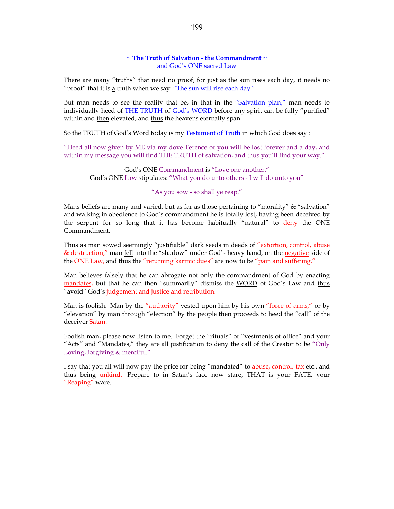# **~ The Truth of Salvation - the Commandment ~** and God's ONE sacred Law

There are many "truths" that need no proof, for just as the sun rises each day, it needs no "proof" that it is  $\underline{a}$  truth when we say: "The sun will rise each day."

But man needs to see the reality that be, in that in the "Salvation plan," man needs to individually heed of THE TRUTH of God's WORD before any spirit can be fully "purified" within and then elevated, and thus the heavens eternally span.

So the TRUTH of God's Word today is my Testament of Truth in which God does say :

"Heed all now given by ME via my dove Terence or you will be lost forever and a day, and within my message you will find THE TRUTH of salvation, and thus you'll find your way."

God's ONE Commandment is "Love one another." God's ONE Law stipulates: "What you do unto others - I will do unto you"

# "As you sow - so shall ye reap."

Mans beliefs are many and varied, but as far as those pertaining to "morality" & "salvation" and walking in obedience to God's commandment he is totally lost, having been deceived by the serpent for so long that it has become habitually "natural" to deny the ONE Commandment.

Thus as man sowed seemingly "justifiable" dark seeds in deeds of "extortion, control, abuse & destruction," man fell into the "shadow" under God's heavy hand, on the negative side of the ONE Law, and thus the "returning karmic dues" are now to be "pain and suffering."

Man believes falsely that he can abrogate not only the commandment of God by enacting mandates, but that he can then "summarily" dismiss the WORD of God's Law and thus "avoid" God's judgement and justice and retribution.

Man is foolish. Man by the "authority" vested upon him by his own "force of arms," or by "elevation" by man through "election" by the people then proceeds to heed the "call" of the deceiver Satan.

Foolish man, please now listen to me. Forget the "rituals" of "vestments of office" and your "Acts" and "Mandates," they are all justification to deny the call of the Creator to be "Only Loving, forgiving & merciful."

I say that you all will now pay the price for being "mandated" to abuse, control, tax etc., and thus being unkind. Prepare to in Satan's face now stare, THAT is your FATE, your "Reaping" ware.